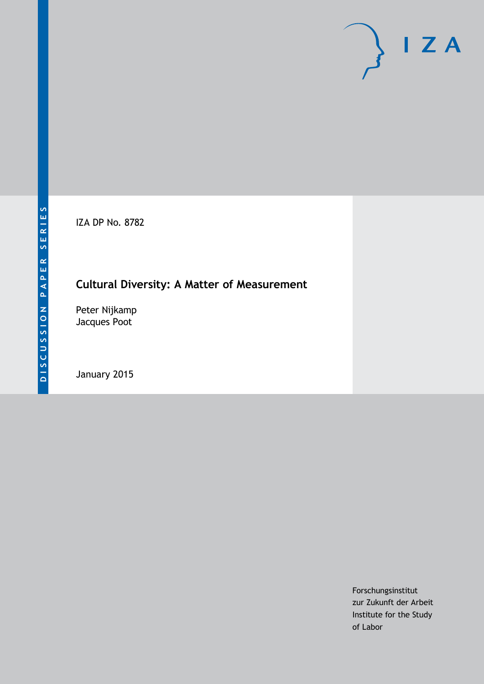IZA DP No. 8782

# **Cultural Diversity: A Matter of Measurement**

Peter Nijkamp Jacques Poot

January 2015

Forschungsinstitut zur Zukunft der Arbeit Institute for the Study of Labor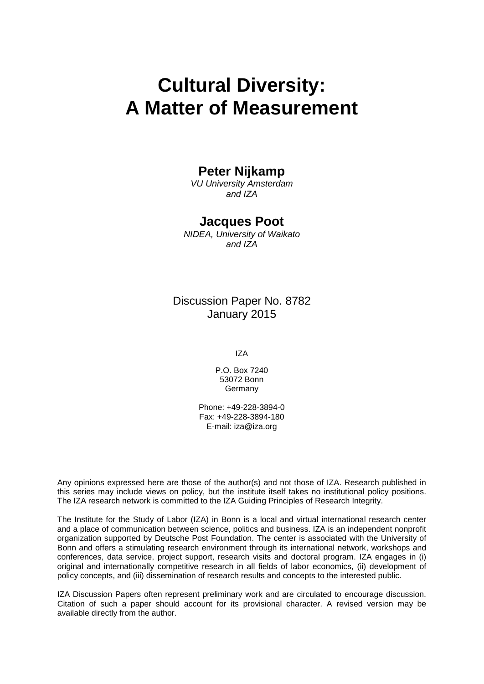# **Cultural Diversity: A Matter of Measurement**

# **Peter Nijkamp**

*VU University Amsterdam and IZA*

## **Jacques Poot**

*NIDEA, University of Waikato and IZA*

Discussion Paper No. 8782 January 2015

IZA

P.O. Box 7240 53072 Bonn **Germany** 

Phone: +49-228-3894-0 Fax: +49-228-3894-180 E-mail: [iza@iza.org](mailto:iza@iza.org)

Any opinions expressed here are those of the author(s) and not those of IZA. Research published in this series may include views on policy, but the institute itself takes no institutional policy positions. The IZA research network is committed to the IZA Guiding Principles of Research Integrity.

<span id="page-1-0"></span>The Institute for the Study of Labor (IZA) in Bonn is a local and virtual international research center and a place of communication between science, politics and business. IZA is an independent nonprofit organization supported by Deutsche Post Foundation. The center is associated with the University of Bonn and offers a stimulating research environment through its international network, workshops and conferences, data service, project support, research visits and doctoral program. IZA engages in (i) original and internationally competitive research in all fields of labor economics, (ii) development of policy concepts, and (iii) dissemination of research results and concepts to the interested public.

IZA Discussion Papers often represent preliminary work and are circulated to encourage discussion. Citation of such a paper should account for its provisional character. A revised version may be available directly from the author.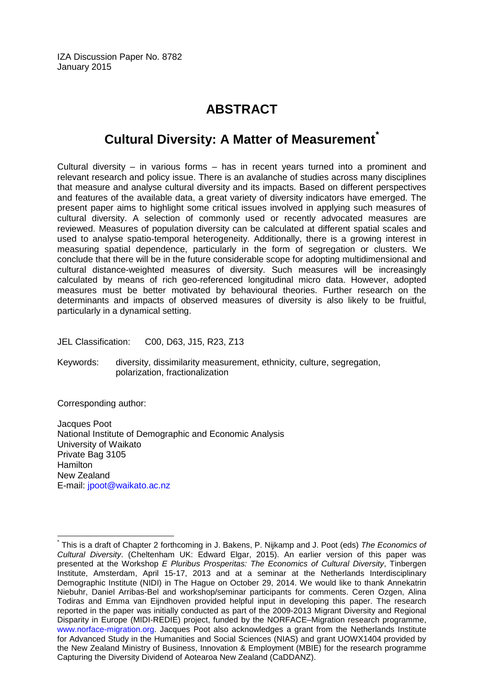IZA Discussion Paper No. 8782 January 2015

# **ABSTRACT**

# **Cultural Diversity: A Matter of Measurement[\\*](#page-1-0)**

Cultural diversity – in various forms – has in recent years turned into a prominent and relevant research and policy issue. There is an avalanche of studies across many disciplines that measure and analyse cultural diversity and its impacts. Based on different perspectives and features of the available data, a great variety of diversity indicators have emerged. The present paper aims to highlight some critical issues involved in applying such measures of cultural diversity. A selection of commonly used or recently advocated measures are reviewed. Measures of population diversity can be calculated at different spatial scales and used to analyse spatio-temporal heterogeneity. Additionally, there is a growing interest in measuring spatial dependence, particularly in the form of segregation or clusters. We conclude that there will be in the future considerable scope for adopting multidimensional and cultural distance-weighted measures of diversity. Such measures will be increasingly calculated by means of rich geo-referenced longitudinal micro data. However, adopted measures must be better motivated by behavioural theories. Further research on the determinants and impacts of observed measures of diversity is also likely to be fruitful, particularly in a dynamical setting.

JEL Classification: C00, D63, J15, R23, Z13

Keywords: diversity, dissimilarity measurement, ethnicity, culture, segregation, polarization, fractionalization

Corresponding author:

Jacques Poot National Institute of Demographic and Economic Analysis University of Waikato Private Bag 3105 **Hamilton** New Zealand E-mail: [jpoot@waikato.ac.nz](mailto:jpoot@waikato.ac.nz)

\* This is a draft of Chapter 2 forthcoming in J. Bakens, P. Nijkamp and J. Poot (eds) *The Economics of Cultural Diversity*. (Cheltenham UK: Edward Elgar, 2015). An earlier version of this paper was presented at the Workshop *E Pluribus Prosperitas: The Economics of Cultural Diversity*, Tinbergen Institute, Amsterdam, April 15-17, 2013 and at a seminar at the Netherlands Interdisciplinary Demographic Institute (NIDI) in The Hague on October 29, 2014. We would like to thank Annekatrin Niebuhr, Daniel Arribas-Bel and workshop/seminar participants for comments. Ceren Ozgen, Alina Todiras and Emma van Eijndhoven provided helpful input in developing this paper. The research reported in the paper was initially conducted as part of the 2009-2013 Migrant Diversity and Regional Disparity in Europe (MIDI-REDIE) project, funded by the NORFACE–Migration research programme, [www.norface-migration.org.](http://www.norface-migration.org/) Jacques Poot also acknowledges a grant from the Netherlands Institute for Advanced Study in the Humanities and Social Sciences (NIAS) and grant UOWX1404 provided by the New Zealand Ministry of Business, Innovation & Employment (MBIE) for the research programme Capturing the Diversity Dividend of Aotearoa New Zealand (CaDDANZ).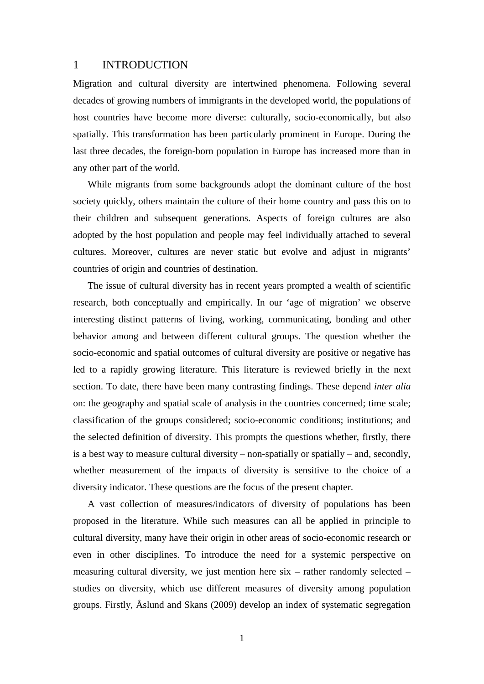#### 1 INTRODUCTION

Migration and cultural diversity are intertwined phenomena. Following several decades of growing numbers of immigrants in the developed world, the populations of host countries have become more diverse: culturally, socio-economically, but also spatially. This transformation has been particularly prominent in Europe. During the last three decades, the foreign-born population in Europe has increased more than in any other part of the world.

While migrants from some backgrounds adopt the dominant culture of the host society quickly, others maintain the culture of their home country and pass this on to their children and subsequent generations. Aspects of foreign cultures are also adopted by the host population and people may feel individually attached to several cultures. Moreover, cultures are never static but evolve and adjust in migrants' countries of origin and countries of destination.

The issue of cultural diversity has in recent years prompted a wealth of scientific research, both conceptually and empirically. In our 'age of migration' we observe interesting distinct patterns of living, working, communicating, bonding and other behavior among and between different cultural groups. The question whether the socio-economic and spatial outcomes of cultural diversity are positive or negative has led to a rapidly growing literature. This literature is reviewed briefly in the next section. To date, there have been many contrasting findings. These depend *inter alia* on: the geography and spatial scale of analysis in the countries concerned; time scale; classification of the groups considered; socio-economic conditions; institutions; and the selected definition of diversity. This prompts the questions whether, firstly, there is a best way to measure cultural diversity – non-spatially or spatially – and, secondly, whether measurement of the impacts of diversity is sensitive to the choice of a diversity indicator. These questions are the focus of the present chapter.

A vast collection of measures/indicators of diversity of populations has been proposed in the literature. While such measures can all be applied in principle to cultural diversity, many have their origin in other areas of socio-economic research or even in other disciplines. To introduce the need for a systemic perspective on measuring cultural diversity, we just mention here six – rather randomly selected – studies on diversity, which use different measures of diversity among population groups. Firstly, Åslund and Skans (2009) develop an index of systematic segregation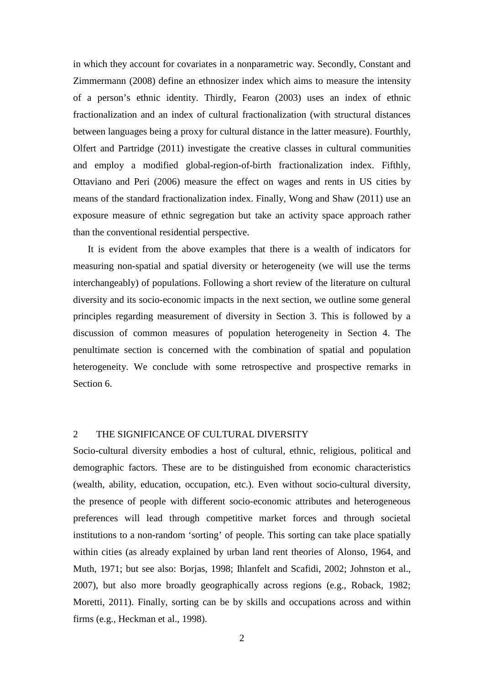in which they account for covariates in a nonparametric way. Secondly, Constant and Zimmermann (2008) define an ethnosizer index which aims to measure the intensity of a person's ethnic identity. Thirdly, Fearon (2003) uses an index of ethnic fractionalization and an index of cultural fractionalization (with structural distances between languages being a proxy for cultural distance in the latter measure). Fourthly, Olfert and Partridge (2011) investigate the creative classes in cultural communities and employ a modified global-region-of-birth fractionalization index. Fifthly, Ottaviano and Peri (2006) measure the effect on wages and rents in US cities by means of the standard fractionalization index. Finally, Wong and Shaw (2011) use an exposure measure of ethnic segregation but take an activity space approach rather than the conventional residential perspective.

It is evident from the above examples that there is a wealth of indicators for measuring non-spatial and spatial diversity or heterogeneity (we will use the terms interchangeably) of populations. Following a short review of the literature on cultural diversity and its socio-economic impacts in the next section, we outline some general principles regarding measurement of diversity in Section 3. This is followed by a discussion of common measures of population heterogeneity in Section 4. The penultimate section is concerned with the combination of spatial and population heterogeneity. We conclude with some retrospective and prospective remarks in Section 6.

### 2 THE SIGNIFICANCE OF CULTURAL DIVERSITY

Socio-cultural diversity embodies a host of cultural, ethnic, religious, political and demographic factors. These are to be distinguished from economic characteristics (wealth, ability, education, occupation, etc.). Even without socio-cultural diversity, the presence of people with different socio-economic attributes and heterogeneous preferences will lead through competitive market forces and through societal institutions to a non-random 'sorting' of people. This sorting can take place spatially within cities (as already explained by urban land rent theories of Alonso, 1964, and Muth, 1971; but see also: Borjas, 1998; Ihlanfelt and Scafidi, 2002; Johnston et al., 2007), but also more broadly geographically across regions (e.g., Roback, 1982; Moretti, 2011). Finally, sorting can be by skills and occupations across and within firms (e.g., Heckman et al., 1998).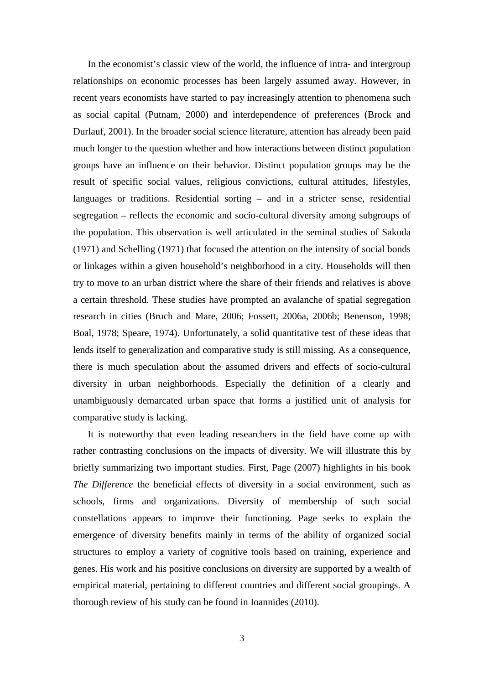In the economist's classic view of the world, the influence of intra- and intergroup relationships on economic processes has been largely assumed away. However, in recent years economists have started to pay increasingly attention to phenomena such as social capital (Putnam, 2000) and interdependence of preferences (Brock and Durlauf, 2001). In the broader social science literature, attention has already been paid much longer to the question whether and how interactions between distinct population groups have an influence on their behavior. Distinct population groups may be the result of specific social values, religious convictions, cultural attitudes, lifestyles, languages or traditions. Residential sorting – and in a stricter sense, residential segregation – reflects the economic and socio-cultural diversity among subgroups of the population. This observation is well articulated in the seminal studies of Sakoda (1971) and Schelling (1971) that focused the attention on the intensity of social bonds or linkages within a given household's neighborhood in a city. Households will then try to move to an urban district where the share of their friends and relatives is above a certain threshold. These studies have prompted an avalanche of spatial segregation research in cities (Bruch and Mare, 2006; Fossett, 2006a, 2006b; Benenson, 1998; Boal, 1978; Speare, 1974). Unfortunately, a solid quantitative test of these ideas that lends itself to generalization and comparative study is still missing. As a consequence, there is much speculation about the assumed drivers and effects of socio-cultural diversity in urban neighborhoods. Especially the definition of a clearly and unambiguously demarcated urban space that forms a justified unit of analysis for comparative study is lacking.

It is noteworthy that even leading researchers in the field have come up with rather contrasting conclusions on the impacts of diversity. We will illustrate this by briefly summarizing two important studies. First, Page (2007) highlights in his book *The Difference* the beneficial effects of diversity in a social environment, such as schools, firms and organizations. Diversity of membership of such social constellations appears to improve their functioning. Page seeks to explain the emergence of diversity benefits mainly in terms of the ability of organized social structures to employ a variety of cognitive tools based on training, experience and genes. His work and his positive conclusions on diversity are supported by a wealth of empirical material, pertaining to different countries and different social groupings. A thorough review of his study can be found in Ioannides (2010).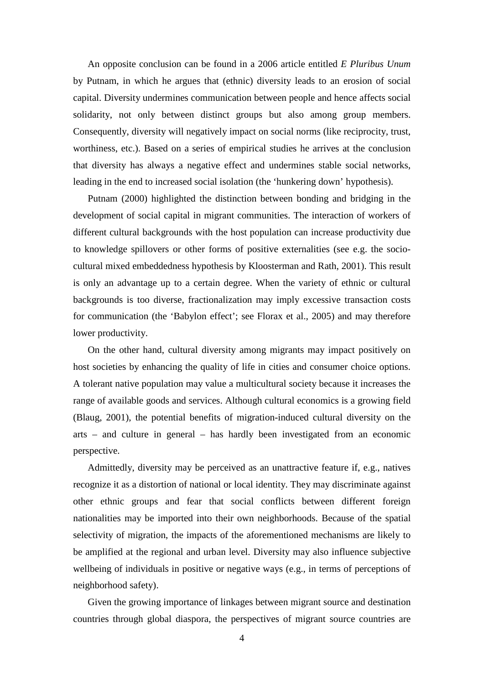An opposite conclusion can be found in a 2006 article entitled *E Pluribus Unum* by Putnam, in which he argues that (ethnic) diversity leads to an erosion of social capital. Diversity undermines communication between people and hence affects social solidarity, not only between distinct groups but also among group members. Consequently, diversity will negatively impact on social norms (like reciprocity, trust, worthiness, etc.). Based on a series of empirical studies he arrives at the conclusion that diversity has always a negative effect and undermines stable social networks, leading in the end to increased social isolation (the 'hunkering down' hypothesis).

Putnam (2000) highlighted the distinction between bonding and bridging in the development of social capital in migrant communities. The interaction of workers of different cultural backgrounds with the host population can increase productivity due to knowledge spillovers or other forms of positive externalities (see e.g. the sociocultural mixed embeddedness hypothesis by Kloosterman and Rath, 2001). This result is only an advantage up to a certain degree. When the variety of ethnic or cultural backgrounds is too diverse, fractionalization may imply excessive transaction costs for communication (the 'Babylon effect'; see Florax et al., 2005) and may therefore lower productivity.

On the other hand, cultural diversity among migrants may impact positively on host societies by enhancing the quality of life in cities and consumer choice options. A tolerant native population may value a multicultural society because it increases the range of available goods and services. Although cultural economics is a growing field (Blaug, 2001), the potential benefits of migration-induced cultural diversity on the arts – and culture in general – has hardly been investigated from an economic perspective.

Admittedly, diversity may be perceived as an unattractive feature if, e.g., natives recognize it as a distortion of national or local identity. They may discriminate against other ethnic groups and fear that social conflicts between different foreign nationalities may be imported into their own neighborhoods. Because of the spatial selectivity of migration, the impacts of the aforementioned mechanisms are likely to be amplified at the regional and urban level. Diversity may also influence subjective wellbeing of individuals in positive or negative ways (e.g., in terms of perceptions of neighborhood safety).

Given the growing importance of linkages between migrant source and destination countries through global diaspora, the perspectives of migrant source countries are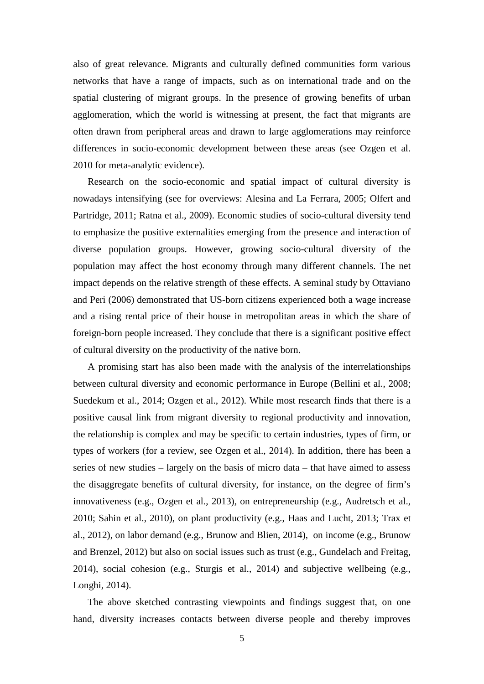also of great relevance. Migrants and culturally defined communities form various networks that have a range of impacts, such as on international trade and on the spatial clustering of migrant groups. In the presence of growing benefits of urban agglomeration, which the world is witnessing at present, the fact that migrants are often drawn from peripheral areas and drawn to large agglomerations may reinforce differences in socio-economic development between these areas (see Ozgen et al. 2010 for meta-analytic evidence).

Research on the socio-economic and spatial impact of cultural diversity is nowadays intensifying (see for overviews: Alesina and La Ferrara, 2005; Olfert and Partridge, 2011; Ratna et al., 2009). Economic studies of socio-cultural diversity tend to emphasize the positive externalities emerging from the presence and interaction of diverse population groups. However, growing socio-cultural diversity of the population may affect the host economy through many different channels. The net impact depends on the relative strength of these effects. A seminal study by Ottaviano and Peri (2006) demonstrated that US-born citizens experienced both a wage increase and a rising rental price of their house in metropolitan areas in which the share of foreign-born people increased. They conclude that there is a significant positive effect of cultural diversity on the productivity of the native born.

A promising start has also been made with the analysis of the interrelationships between cultural diversity and economic performance in Europe (Bellini et al., 2008; Suedekum et al., 2014; Ozgen et al., 2012). While most research finds that there is a positive causal link from migrant diversity to regional productivity and innovation, the relationship is complex and may be specific to certain industries, types of firm, or types of workers (for a review, see Ozgen et al., 2014). In addition, there has been a series of new studies – largely on the basis of micro data – that have aimed to assess the disaggregate benefits of cultural diversity, for instance, on the degree of firm's innovativeness (e.g., Ozgen et al., 2013), on entrepreneurship (e.g., Audretsch et al., 2010; Sahin et al., 2010), on plant productivity (e.g., Haas and Lucht, 2013; Trax et al., 2012), on labor demand (e.g., Brunow and Blien, 2014), on income (e.g., Brunow and Brenzel, 2012) but also on social issues such as trust (e.g., Gundelach and Freitag, 2014), social cohesion (e.g., Sturgis et al., 2014) and subjective wellbeing (e.g., Longhi, 2014).

The above sketched contrasting viewpoints and findings suggest that, on one hand, diversity increases contacts between diverse people and thereby improves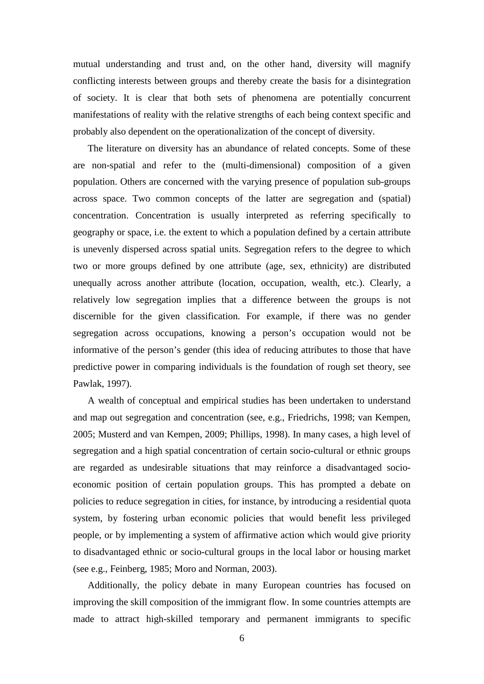mutual understanding and trust and, on the other hand, diversity will magnify conflicting interests between groups and thereby create the basis for a disintegration of society. It is clear that both sets of phenomena are potentially concurrent manifestations of reality with the relative strengths of each being context specific and probably also dependent on the operationalization of the concept of diversity.

The literature on diversity has an abundance of related concepts. Some of these are non-spatial and refer to the (multi-dimensional) composition of a given population. Others are concerned with the varying presence of population sub-groups across space. Two common concepts of the latter are segregation and (spatial) concentration. Concentration is usually interpreted as referring specifically to geography or space, i.e. the extent to which a population defined by a certain attribute is unevenly dispersed across spatial units. Segregation refers to the degree to which two or more groups defined by one attribute (age, sex, ethnicity) are distributed unequally across another attribute (location, occupation, wealth, etc.). Clearly, a relatively low segregation implies that a difference between the groups is not discernible for the given classification. For example, if there was no gender segregation across occupations, knowing a person's occupation would not be informative of the person's gender (this idea of reducing attributes to those that have predictive power in comparing individuals is the foundation of rough set theory, see Pawlak, 1997).

A wealth of conceptual and empirical studies has been undertaken to understand and map out segregation and concentration (see, e.g., Friedrichs, 1998; van Kempen, 2005; Musterd and van Kempen, 2009; Phillips, 1998). In many cases, a high level of segregation and a high spatial concentration of certain socio-cultural or ethnic groups are regarded as undesirable situations that may reinforce a disadvantaged socioeconomic position of certain population groups. This has prompted a debate on policies to reduce segregation in cities, for instance, by introducing a residential quota system, by fostering urban economic policies that would benefit less privileged people, or by implementing a system of affirmative action which would give priority to disadvantaged ethnic or socio-cultural groups in the local labor or housing market (see e.g., Feinberg, 1985; Moro and Norman, 2003).

Additionally, the policy debate in many European countries has focused on improving the skill composition of the immigrant flow. In some countries attempts are made to attract high-skilled temporary and permanent immigrants to specific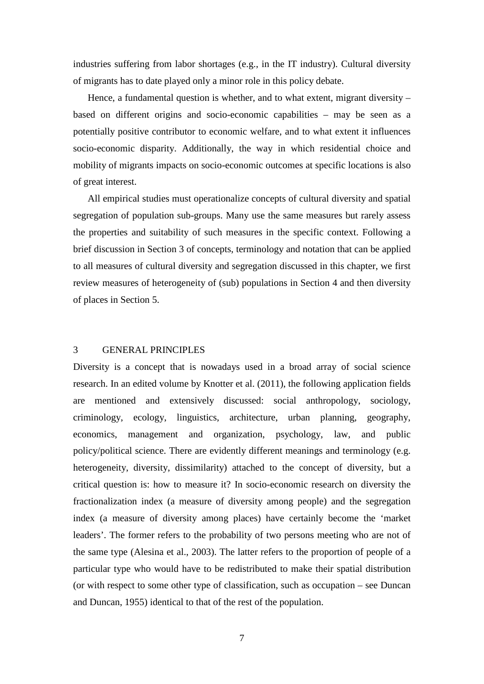industries suffering from labor shortages (e.g., in the IT industry). Cultural diversity of migrants has to date played only a minor role in this policy debate.

Hence, a fundamental question is whether, and to what extent, migrant diversity – based on different origins and socio-economic capabilities – may be seen as a potentially positive contributor to economic welfare, and to what extent it influences socio-economic disparity. Additionally, the way in which residential choice and mobility of migrants impacts on socio-economic outcomes at specific locations is also of great interest.

All empirical studies must operationalize concepts of cultural diversity and spatial segregation of population sub-groups. Many use the same measures but rarely assess the properties and suitability of such measures in the specific context. Following a brief discussion in Section 3 of concepts, terminology and notation that can be applied to all measures of cultural diversity and segregation discussed in this chapter, we first review measures of heterogeneity of (sub) populations in Section 4 and then diversity of places in Section 5.

#### 3 GENERAL PRINCIPLES

Diversity is a concept that is nowadays used in a broad array of social science research. In an edited volume by Knotter et al. (2011), the following application fields are mentioned and extensively discussed: social anthropology, sociology, criminology, ecology, linguistics, architecture, urban planning, geography, economics, management and organization, psychology, law, and public policy/political science. There are evidently different meanings and terminology (e.g. heterogeneity, diversity, dissimilarity) attached to the concept of diversity, but a critical question is: how to measure it? In socio-economic research on diversity the fractionalization index (a measure of diversity among people) and the segregation index (a measure of diversity among places) have certainly become the 'market leaders'. The former refers to the probability of two persons meeting who are not of the same type (Alesina et al., 2003). The latter refers to the proportion of people of a particular type who would have to be redistributed to make their spatial distribution (or with respect to some other type of classification, such as occupation – see Duncan and Duncan, 1955) identical to that of the rest of the population.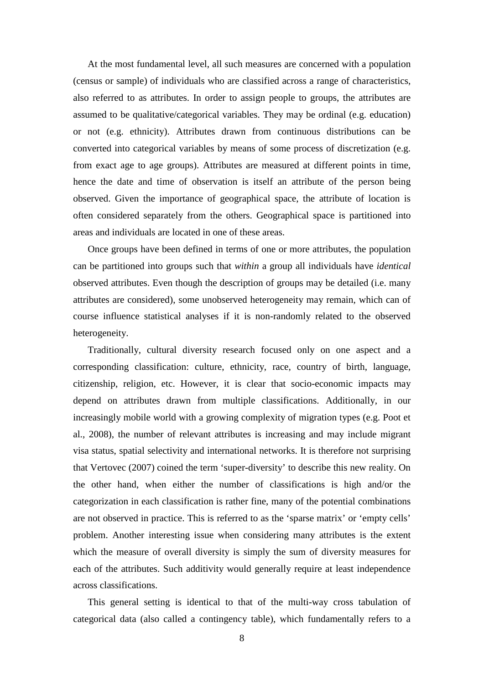At the most fundamental level, all such measures are concerned with a population (census or sample) of individuals who are classified across a range of characteristics, also referred to as attributes. In order to assign people to groups, the attributes are assumed to be qualitative/categorical variables. They may be ordinal (e.g. education) or not (e.g. ethnicity). Attributes drawn from continuous distributions can be converted into categorical variables by means of some process of discretization (e.g. from exact age to age groups). Attributes are measured at different points in time, hence the date and time of observation is itself an attribute of the person being observed. Given the importance of geographical space, the attribute of location is often considered separately from the others. Geographical space is partitioned into areas and individuals are located in one of these areas.

Once groups have been defined in terms of one or more attributes, the population can be partitioned into groups such that *within* a group all individuals have *identical* observed attributes. Even though the description of groups may be detailed (i.e. many attributes are considered), some unobserved heterogeneity may remain, which can of course influence statistical analyses if it is non-randomly related to the observed heterogeneity.

Traditionally, cultural diversity research focused only on one aspect and a corresponding classification: culture, ethnicity, race, country of birth, language, citizenship, religion, etc. However, it is clear that socio-economic impacts may depend on attributes drawn from multiple classifications. Additionally, in our increasingly mobile world with a growing complexity of migration types (e.g. Poot et al., 2008), the number of relevant attributes is increasing and may include migrant visa status, spatial selectivity and international networks. It is therefore not surprising that Vertovec (2007) coined the term 'super-diversity' to describe this new reality. On the other hand, when either the number of classifications is high and/or the categorization in each classification is rather fine, many of the potential combinations are not observed in practice. This is referred to as the 'sparse matrix' or 'empty cells' problem. Another interesting issue when considering many attributes is the extent which the measure of overall diversity is simply the sum of diversity measures for each of the attributes. Such additivity would generally require at least independence across classifications.

This general setting is identical to that of the multi-way cross tabulation of categorical data (also called a contingency table), which fundamentally refers to a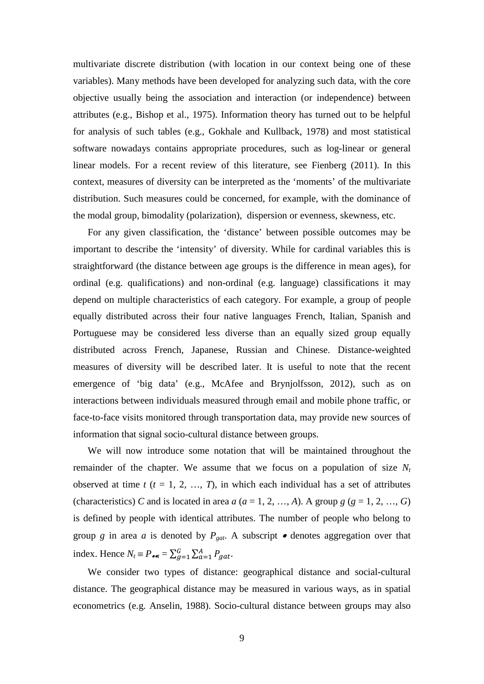multivariate discrete distribution (with location in our context being one of these variables). Many methods have been developed for analyzing such data, with the core objective usually being the association and interaction (or independence) between attributes (e.g., Bishop et al., 1975). Information theory has turned out to be helpful for analysis of such tables (e.g., Gokhale and Kullback, 1978) and most statistical software nowadays contains appropriate procedures, such as log-linear or general linear models. For a recent review of this literature, see Fienberg (2011). In this context, measures of diversity can be interpreted as the 'moments' of the multivariate distribution. Such measures could be concerned, for example, with the dominance of the modal group, bimodality (polarization), dispersion or evenness, skewness, etc.

For any given classification, the 'distance' between possible outcomes may be important to describe the 'intensity' of diversity. While for cardinal variables this is straightforward (the distance between age groups is the difference in mean ages), for ordinal (e.g. qualifications) and non-ordinal (e.g. language) classifications it may depend on multiple characteristics of each category. For example, a group of people equally distributed across their four native languages French, Italian, Spanish and Portuguese may be considered less diverse than an equally sized group equally distributed across French, Japanese, Russian and Chinese. Distance-weighted measures of diversity will be described later. It is useful to note that the recent emergence of 'big data' (e.g., McAfee and Brynjolfsson, 2012), such as on interactions between individuals measured through email and mobile phone traffic, or face-to-face visits monitored through transportation data, may provide new sources of information that signal socio-cultural distance between groups.

We will now introduce some notation that will be maintained throughout the remainder of the chapter. We assume that we focus on a population of size  $N_t$ observed at time  $t$  ( $t = 1, 2, ..., T$ ), in which each individual has a set of attributes (characteristics) *C* and is located in area  $a$  ( $a = 1, 2, ..., A$ ). A group  $g$  ( $g = 1, 2, ..., G$ ) is defined by people with identical attributes. The number of people who belong to group *g* in area *a* is denoted by  $P_{\text{gat}}$ . A subscript  $\bullet$  denotes aggregation over that index. Hence  $N_t \equiv P_{\bullet \bullet t} = \sum_{g=1}^{G} \sum_{a=1}^{A} P_{gat}$ .

We consider two types of distance: geographical distance and social-cultural distance. The geographical distance may be measured in various ways, as in spatial econometrics (e.g. Anselin, 1988). Socio-cultural distance between groups may also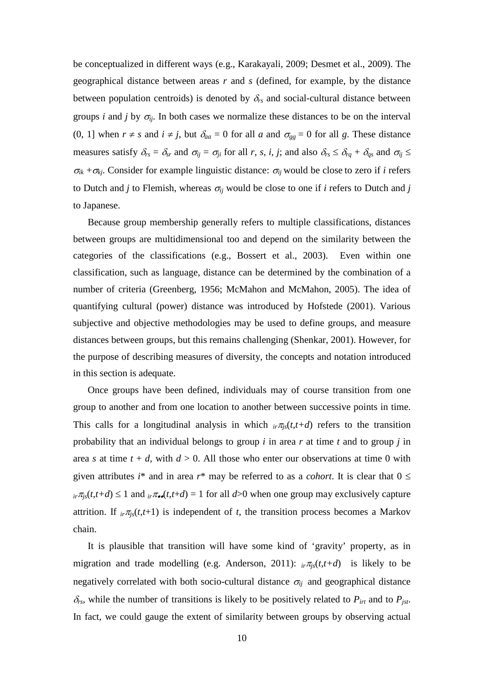be conceptualized in different ways (e.g., Karakayali, 2009; Desmet et al., 2009). The geographical distance between areas *r* and *s* (defined, for example, by the distance between population centroids) is denoted by  $\delta_{rs}$  and social-cultural distance between groups *i* and *j* by  $\sigma_{ii}$ . In both cases we normalize these distances to be on the interval (0, 1) when  $r \neq s$  and  $i \neq j$ , but  $\delta_{aa} = 0$  for all *a* and  $\sigma_{gg} = 0$  for all *g*. These distance measures satisfy  $\delta_{rs} = \delta_{sr}$  and  $\sigma_{ij} = \sigma_{ji}$  for all *r*, *s*, *i*, *j*; and also  $\delta_{rs} \leq \delta_{rq} + \delta_{qs}$  and  $\sigma_{ij} \leq$  $\sigma_{ik} + \sigma_{kj}$ . Consider for example linguistic distance:  $\sigma_{ij}$  would be close to zero if *i* refers to Dutch and *j* to Flemish, whereas  $\sigma_{ij}$  would be close to one if *i* refers to Dutch and *j* to Japanese.

Because group membership generally refers to multiple classifications, distances between groups are multidimensional too and depend on the similarity between the categories of the classifications (e.g., Bossert et al., 2003). Even within one classification, such as language, distance can be determined by the combination of a number of criteria (Greenberg, 1956; McMahon and McMahon, 2005). The idea of quantifying cultural (power) distance was introduced by Hofstede (2001). Various subjective and objective methodologies may be used to define groups, and measure distances between groups, but this remains challenging (Shenkar, 2001). However, for the purpose of describing measures of diversity, the concepts and notation introduced in this section is adequate.

Once groups have been defined, individuals may of course transition from one group to another and from one location to another between successive points in time. This calls for a longitudinal analysis in which  $i_r \pi_{is}(t, t+d)$  refers to the transition probability that an individual belongs to group *i* in area *r* at time *t* and to group *j* in area *s* at time  $t + d$ , with  $d > 0$ . All those who enter our observations at time 0 with given attributes *i*<sup>\*</sup> and in area *r*<sup>\*</sup> may be referred to as a *cohort*. It is clear that  $0 \le$  $i<sub>r</sub> \pi$ <sub>*is*</sub>(*t*,*t*+*d*) ≤ 1 and  $i<sub>r</sub> \pi$ <sub>••</sub>(*t*,*t*+*d*) = 1 for all *d*>0 when one group may exclusively capture attrition. If  $i<sub>r</sub> \pi_{is}(t,t+1)$  is independent of *t*, the transition process becomes a Markov chain.

It is plausible that transition will have some kind of 'gravity' property, as in migration and trade modelling (e.g. Anderson, 2011):  $i \pi \pi_i(t, t+d)$  is likely to be negatively correlated with both socio-cultural distance  $\sigma_{ij}$  and geographical distance  $\delta_{rs}$ , while the number of transitions is likely to be positively related to  $P_{irt}$  and to  $P_{jst}$ . In fact, we could gauge the extent of similarity between groups by observing actual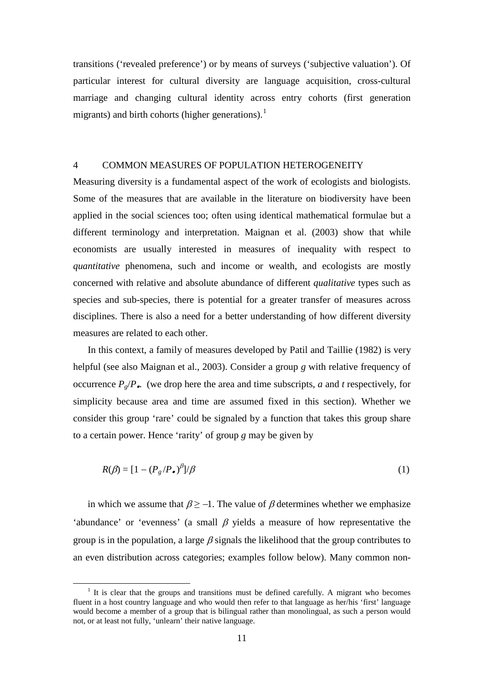transitions ('revealed preference') or by means of surveys ('subjective valuation'). Of particular interest for cultural diversity are language acquisition, cross-cultural marriage and changing cultural identity across entry cohorts (first generation migrants) and birth cohorts (higher generations).<sup>1</sup>

### 4 COMMON MEASURES OF POPULATION HETEROGENEITY

Measuring diversity is a fundamental aspect of the work of ecologists and biologists. Some of the measures that are available in the literature on biodiversity have been applied in the social sciences too; often using identical mathematical formulae but a different terminology and interpretation. Maignan et al. (2003) show that while economists are usually interested in measures of inequality with respect to *quantitative* phenomena, such and income or wealth, and ecologists are mostly concerned with relative and absolute abundance of different *qualitative* types such as species and sub-species, there is potential for a greater transfer of measures across disciplines. There is also a need for a better understanding of how different diversity measures are related to each other.

In this context, a family of measures developed by Patil and Taillie (1982) is very helpful (see also Maignan et al., 2003). Consider a group *g* with relative frequency of occurrence  $P_g/P_{\bullet}$ . (we drop here the area and time subscripts, *a* and *t* respectively, for simplicity because area and time are assumed fixed in this section). Whether we consider this group 'rare' could be signaled by a function that takes this group share to a certain power. Hence 'rarity' of group *g* may be given by

$$
R(\beta) = [1 - (P_g/P_\bullet)^{\beta}]/\beta \tag{1}
$$

in which we assume that  $\beta \ge -1$ . The value of  $\beta$  determines whether we emphasize 'abundance' or 'evenness' (a small  $\beta$  yields a measure of how representative the group is in the population, a large  $\beta$  signals the likelihood that the group contributes to an even distribution across categories; examples follow below). Many common non-

<span id="page-13-0"></span> $<sup>1</sup>$  It is clear that the groups and transitions must be defined carefully. A migrant who becomes</sup> fluent in a host country language and who would then refer to that language as her/his 'first' language would become a member of a group that is bilingual rather than monolingual, as such a person would not, or at least not fully, 'unlearn' their native language.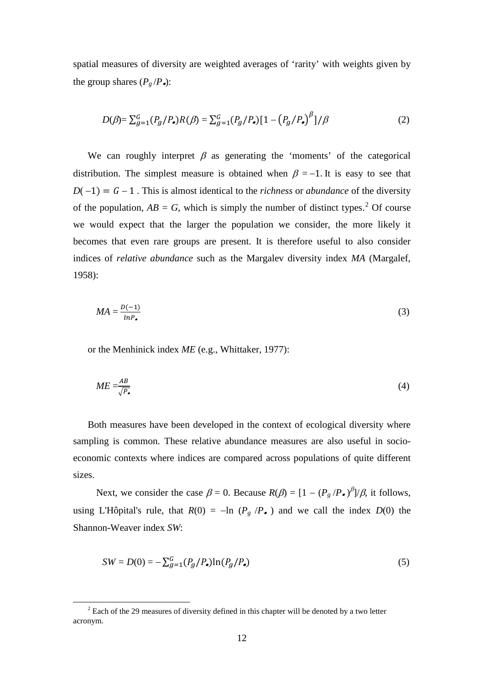spatial measures of diversity are weighted averages of 'rarity' with weights given by the group shares  $(P_g/P_e)$ :

$$
D(\beta) = \sum_{g=1}^{G} (P_g/P_{\bullet})R(\beta) = \sum_{g=1}^{G} (P_g/P_{\bullet})[1 - (P_g/P_{\bullet})^{\beta}]/\beta
$$
\n(2)

We can roughly interpret  $\beta$  as generating the 'moments' of the categorical distribution. The simplest measure is obtained when  $\beta = -1$ . It is easy to see that  $D(-1) = G - 1$ . This is almost identical to the *richness* or *abundance* of the diversity of the population,  $AB = G$ , which is simply the number of distinct types.<sup>[2](#page-13-0)</sup> Of course we would expect that the larger the population we consider, the more likely it becomes that even rare groups are present. It is therefore useful to also consider indices of *relative abundance* such as the Margalev diversity index *MA* (Margalef, 1958):

$$
MA = \frac{D(-1)}{ln P_{\bullet}} \tag{3}
$$

or the Menhinick index *ME* (e.g., Whittaker, 1977):

$$
ME = \frac{AB}{\sqrt{P_{\bullet}}} \tag{4}
$$

Both measures have been developed in the context of ecological diversity where sampling is common. These relative abundance measures are also useful in socioeconomic contexts where indices are compared across populations of quite different sizes.

Next, we consider the case  $\beta = 0$ . Because  $R(\beta) = \left[1 - \left(P_g/P_e\right)^{\beta}\right]/\beta$ , it follows, using L'Hôpital's rule, that  $R(0) = -\ln (P_g / P_e)$  and we call the index  $D(0)$  the Shannon-Weaver index *SW*:

$$
SW = D(0) = -\sum_{g=1}^{G} (P_g/P_o) \ln(P_g/P_o)
$$
\n<sup>(5)</sup>

<span id="page-14-0"></span> $2$  Each of the 29 measures of diversity defined in this chapter will be denoted by a two letter acronym.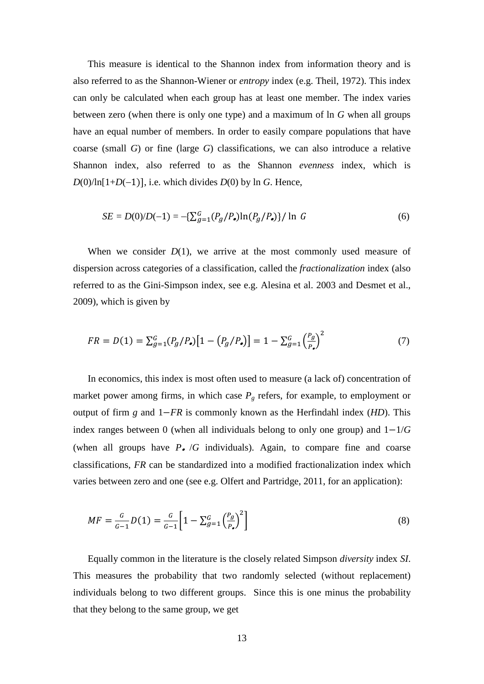This measure is identical to the Shannon index from information theory and is also referred to as the Shannon-Wiener or *entropy* index (e.g. Theil, 1972). This index can only be calculated when each group has at least one member. The index varies between zero (when there is only one type) and a maximum of ln *G* when all groups have an equal number of members. In order to easily compare populations that have coarse (small *G*) or fine (large *G*) classifications, we can also introduce a relative Shannon index, also referred to as the Shannon *evenness* index, which is  $D(0)/\ln[1+D(-1)]$ , i.e. which divides  $D(0)$  by ln *G*. Hence,

$$
SE = D(0)/D(-1) = -\left\{\sum_{g=1}^{G} (P_g/P_o) \ln(P_g/P_o) \right\} / \ln G
$$
 (6)

When we consider  $D(1)$ , we arrive at the most commonly used measure of dispersion across categories of a classification, called the *fractionalization* index (also referred to as the Gini-Simpson index, see e.g. Alesina et al. 2003 and Desmet et al., 2009), which is given by

$$
FR = D(1) = \sum_{g=1}^{G} (P_g / P_o) [1 - (P_g / P_o)] = 1 - \sum_{g=1}^{G} \left(\frac{P_g}{P_o}\right)^2
$$
 (7)

In economics, this index is most often used to measure (a lack of) concentration of market power among firms, in which case  $P_g$  refers, for example, to employment or output of firm *g* and 1−*FR* is commonly known as the Herfindahl index (*HD*). This index ranges between 0 (when all individuals belong to only one group) and 1−1/*G* (when all groups have *P*• /*G* individuals). Again, to compare fine and coarse classifications, *FR* can be standardized into a modified fractionalization index which varies between zero and one (see e.g. Olfert and Partridge, 2011, for an application):

$$
MF = \frac{G}{G-1}D(1) = \frac{G}{G-1}\left[1 - \sum_{g=1}^{G} \left(\frac{P_g}{P_g}\right)^2\right]
$$
(8)

Equally common in the literature is the closely related Simpson *diversity* index *SI*. This measures the probability that two randomly selected (without replacement) individuals belong to two different groups. Since this is one minus the probability that they belong to the same group, we get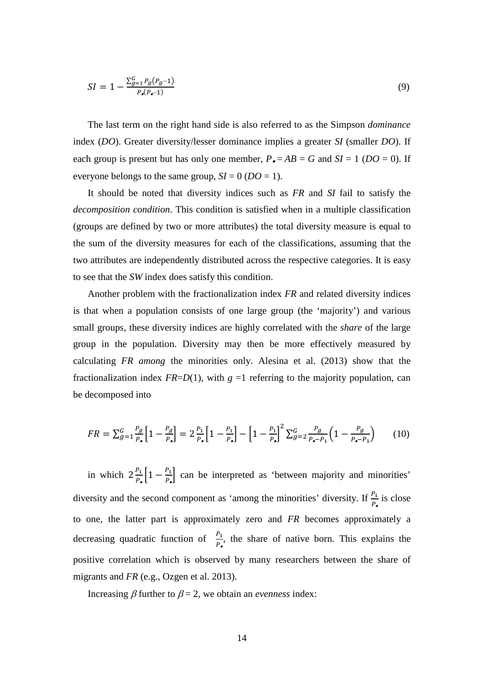$$
SI = 1 - \frac{\sum_{g=1}^{G} P_g(P_g - 1)}{P_g(P_g - 1)}
$$
\n(9)

The last term on the right hand side is also referred to as the Simpson *dominance* index (*DO*). Greater diversity/lesser dominance implies a greater *SI* (smaller *DO*). If each group is present but has only one member,  $P_{\bullet} = AB = G$  and  $SI = 1$  ( $DO = 0$ ). If everyone belongs to the same group,  $SI = 0$  ( $DO = 1$ ).

It should be noted that diversity indices such as *FR* and *SI* fail to satisfy the *decomposition condition*. This condition is satisfied when in a multiple classification (groups are defined by two or more attributes) the total diversity measure is equal to the sum of the diversity measures for each of the classifications, assuming that the two attributes are independently distributed across the respective categories. It is easy to see that the *SW* index does satisfy this condition.

Another problem with the fractionalization index *FR* and related diversity indices is that when a population consists of one large group (the 'majority') and various small groups, these diversity indices are highly correlated with the *share* of the large group in the population. Diversity may then be more effectively measured by calculating *FR among* the minorities only. Alesina et al. (2013) show that the fractionalization index  $FR=D(1)$ , with  $g=1$  referring to the majority population, can be decomposed into

$$
FR = \sum_{g=1}^{G} \frac{P_g}{P_e} \Big[ 1 - \frac{P_g}{P_e} \Big] = 2 \frac{P_1}{P_e} \Big[ 1 - \frac{P_1}{P_e} \Big] - \Big[ 1 - \frac{P_1}{P_e} \Big]^2 \sum_{g=2}^{G} \frac{P_g}{P_e - P_1} \Big( 1 - \frac{P_g}{P_e - P_1} \Big) \tag{10}
$$

in which  $2\frac{P_1}{P_0}\left[1-\frac{P_1}{P_0}\right]$  can be interpreted as 'between majority and minorities' diversity and the second component as 'among the minorities' diversity. If  $\frac{P_1}{P_e}$  is close to one, the latter part is approximately zero and *FR* becomes approximately a decreasing quadratic function of  $\frac{P_1}{P_{\bullet}}$ , the share of native born. This explains the positive correlation which is observed by many researchers between the share of migrants and *FR* (e.g., Ozgen et al. 2013).

Increasing  $\beta$  further to  $\beta = 2$ , we obtain an *evenness* index: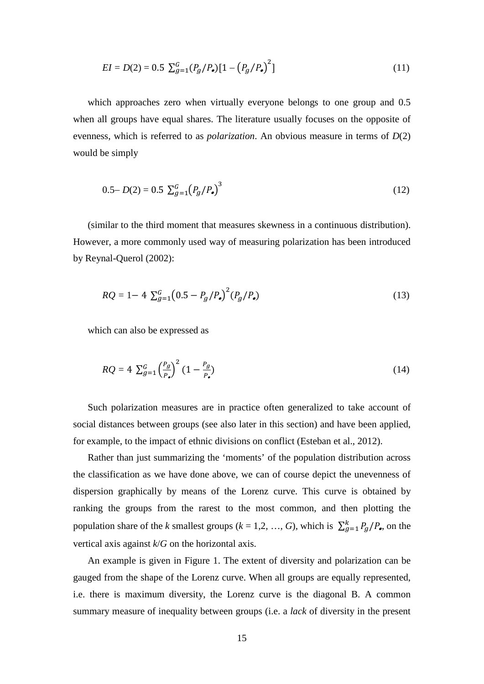$$
EI = D(2) = 0.5 \sum_{g=1}^{G} (P_g/P_o)[1 - (P_g/P_o)^2]
$$
\n(11)

which approaches zero when virtually everyone belongs to one group and 0.5 when all groups have equal shares. The literature usually focuses on the opposite of evenness, which is referred to as *polarization*. An obvious measure in terms of *D*(2) would be simply

$$
0.5 - D(2) = 0.5 \sum_{g=1}^{G} (P_g / P_o)^3
$$
 (12)

(similar to the third moment that measures skewness in a continuous distribution). However, a more commonly used way of measuring polarization has been introduced by Reynal-Querol (2002):

$$
RQ = 1 - 4 \sum_{g=1}^{G} (0.5 - P_g/P_{\bullet})^2 (P_g/P_{\bullet})
$$
\n(13)

which can also be expressed as

$$
RQ = 4 \sum_{g=1}^{G} \left(\frac{P_g}{P_e}\right)^2 (1 - \frac{P_g}{P_e})
$$
 (14)

Such polarization measures are in practice often generalized to take account of social distances between groups (see also later in this section) and have been applied, for example, to the impact of ethnic divisions on conflict (Esteban et al., 2012).

Rather than just summarizing the 'moments' of the population distribution across the classification as we have done above, we can of course depict the unevenness of dispersion graphically by means of the Lorenz curve. This curve is obtained by ranking the groups from the rarest to the most common, and then plotting the population share of the *k* smallest groups ( $k = 1, 2, ..., G$ ), which is  $\sum_{g=1}^{k} P_g/P_g$ , on the vertical axis against *k*/*G* on the horizontal axis.

An example is given in Figure 1. The extent of diversity and polarization can be gauged from the shape of the Lorenz curve. When all groups are equally represented, i.e. there is maximum diversity, the Lorenz curve is the diagonal B. A common summary measure of inequality between groups (i.e. a *lack* of diversity in the present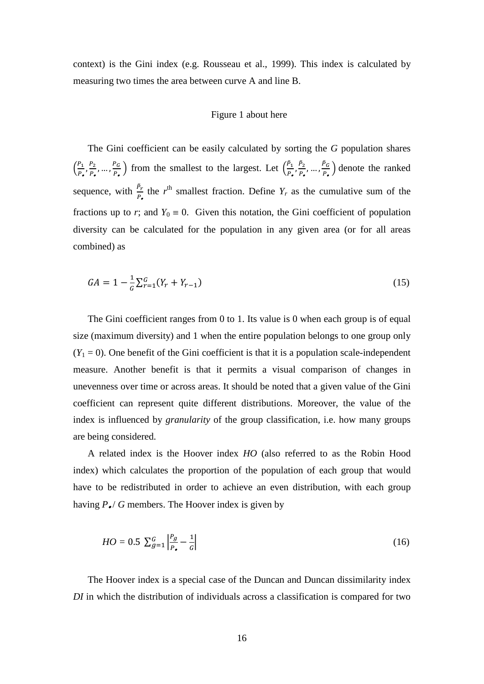context) is the Gini index (e.g. Rousseau et al., 1999). This index is calculated by measuring two times the area between curve A and line B.

#### Figure 1 about here

The Gini coefficient can be easily calculated by sorting the *G* population shares  $\left(\frac{P_1}{P}\right)$  $\frac{P_1}{P_{\bullet}}, \frac{P_2}{P_{\bullet}}$  $\frac{P_2}{P_{\bullet}}, \ldots, \frac{P_G}{P_{\bullet}}$  $\frac{p_G}{p_e}$ ) from the smallest to the largest. Let  $\left(\frac{\bar{p}_1}{p_e}\right)$  $\frac{\vec{P}_1}{P_e}, \frac{\vec{P}_2}{P_e}$  $\frac{\bar{p}_2}{P_{\bullet}}, \dots, \frac{\bar{p}_G}{P_{\bullet}}$  $\frac{P_G}{P_e}$ ) denote the ranked sequence, with  $\frac{P_r}{R}$  $\frac{P_r}{P_e}$  the *r*<sup>th</sup> smallest fraction. Define *Y<sub>r</sub>* as the cumulative sum of the fractions up to *r*; and  $Y_0 \equiv 0$ . Given this notation, the Gini coefficient of population diversity can be calculated for the population in any given area (or for all areas combined) as

$$
GA = 1 - \frac{1}{6} \sum_{r=1}^{6} (Y_r + Y_{r-1})
$$
\n(15)

The Gini coefficient ranges from 0 to 1. Its value is 0 when each group is of equal size (maximum diversity) and 1 when the entire population belongs to one group only  $(Y_1 = 0)$ . One benefit of the Gini coefficient is that it is a population scale-independent measure. Another benefit is that it permits a visual comparison of changes in unevenness over time or across areas. It should be noted that a given value of the Gini coefficient can represent quite different distributions. Moreover, the value of the index is influenced by *granularity* of the group classification, i.e. how many groups are being considered.

A related index is the Hoover index *HO* (also referred to as the Robin Hood index) which calculates the proportion of the population of each group that would have to be redistributed in order to achieve an even distribution, with each group having  $P_{\bullet}$  / *G* members. The Hoover index is given by

$$
HO = 0.5 \sum_{g=1}^{G} \left| \frac{P_g}{P_e} - \frac{1}{G} \right| \tag{16}
$$

The Hoover index is a special case of the Duncan and Duncan dissimilarity index *DI* in which the distribution of individuals across a classification is compared for two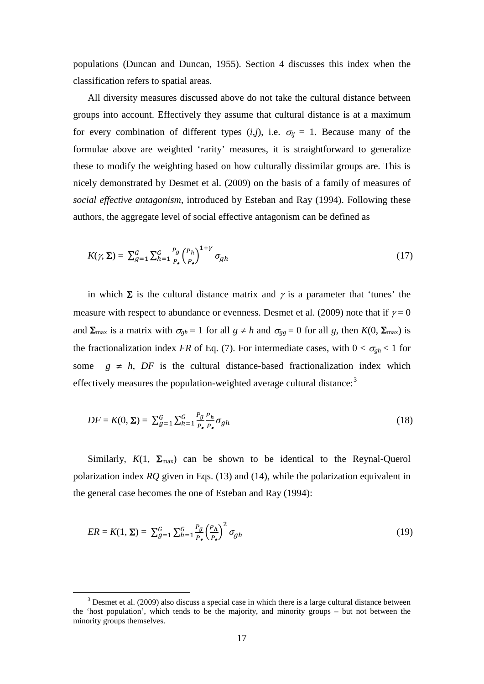populations (Duncan and Duncan, 1955). Section 4 discusses this index when the classification refers to spatial areas.

All diversity measures discussed above do not take the cultural distance between groups into account. Effectively they assume that cultural distance is at a maximum for every combination of different types  $(i,j)$ , i.e.  $\sigma_{ij} = 1$ . Because many of the formulae above are weighted 'rarity' measures, it is straightforward to generalize these to modify the weighting based on how culturally dissimilar groups are. This is nicely demonstrated by Desmet et al. (2009) on the basis of a family of measures of *social effective antagonism*, introduced by Esteban and Ray (1994). Following these authors, the aggregate level of social effective antagonism can be defined as

$$
K(\gamma, \Sigma) = \sum_{g=1}^{G} \sum_{h=1}^{G} \frac{P_g}{P_s} \left(\frac{P_h}{P_s}\right)^{1+\gamma} \sigma_{gh} \tag{17}
$$

in which  $\Sigma$  is the cultural distance matrix and  $\gamma$  is a parameter that 'tunes' the measure with respect to abundance or evenness. Desmet et al. (2009) note that if  $\gamma = 0$ and  $\Sigma_{\text{max}}$  is a matrix with  $\sigma_{gh} = 1$  for all  $g \neq h$  and  $\sigma_{gg} = 0$  for all g, then  $K(0, \Sigma_{\text{max}})$  is the fractionalization index *FR* of Eq. (7). For intermediate cases, with  $0 < \sigma_{gh} < 1$  for some  $g \neq h$ , *DF* is the cultural distance-based fractionalization index which effectively measures the population-weighted average cultural distance:<sup>[3](#page-14-0)</sup>

$$
DF = K(0, \Sigma) = \sum_{g=1}^{G} \sum_{h=1}^{G} \frac{P_g}{P_e} \frac{P_h}{P_e} \sigma_{gh}
$$
\n(18)

Similarly,  $K(1, \Sigma_{\text{max}})$  can be shown to be identical to the Reynal-Querol polarization index *RQ* given in Eqs. (13) and (14), while the polarization equivalent in the general case becomes the one of Esteban and Ray (1994):

$$
ER = K(1, \Sigma) = \sum_{g=1}^{G} \sum_{h=1}^{G} \frac{P_g}{P_e} \left(\frac{P_h}{P_e}\right)^2 \sigma_{gh}
$$
\n(19)

<span id="page-19-0"></span><sup>&</sup>lt;sup>3</sup> Desmet et al. (2009) also discuss a special case in which there is a large cultural distance between the 'host population', which tends to be the majority, and minority groups – but not between the minority groups themselves.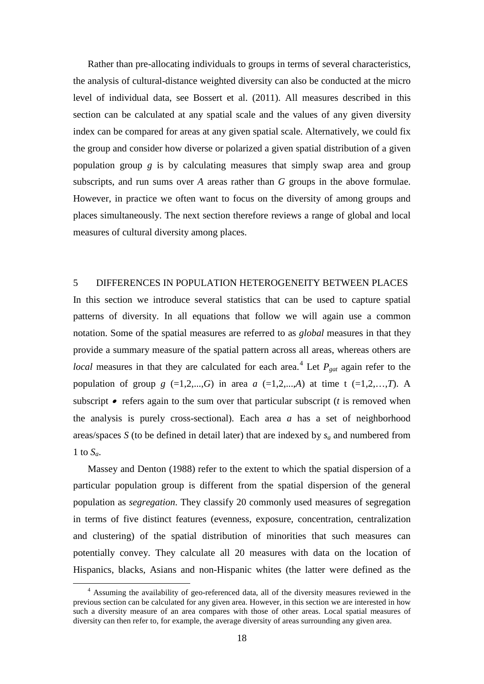Rather than pre-allocating individuals to groups in terms of several characteristics, the analysis of cultural-distance weighted diversity can also be conducted at the micro level of individual data, see Bossert et al. (2011). All measures described in this section can be calculated at any spatial scale and the values of any given diversity index can be compared for areas at any given spatial scale. Alternatively, we could fix the group and consider how diverse or polarized a given spatial distribution of a given population group *g* is by calculating measures that simply swap area and group subscripts, and run sums over *A* areas rather than *G* groups in the above formulae. However, in practice we often want to focus on the diversity of among groups and places simultaneously. The next section therefore reviews a range of global and local measures of cultural diversity among places.

5 DIFFERENCES IN POPULATION HETEROGENEITY BETWEEN PLACES In this section we introduce several statistics that can be used to capture spatial patterns of diversity. In all equations that follow we will again use a common notation. Some of the spatial measures are referred to as *global* measures in that they provide a summary measure of the spatial pattern across all areas, whereas others are *local* measures in that they are calculated for each area.<sup>[4](#page-19-0)</sup> Let  $P_{\text{gat}}$  again refer to the population of group *g*  $(=1,2,...,G)$  in area *a*  $(=1,2,...,A)$  at time t  $(=1,2,...,T)$ . A subscript  $\bullet$  refers again to the sum over that particular subscript (*t* is removed when the analysis is purely cross-sectional). Each area *a* has a set of neighborhood areas/spaces  $S$  (to be defined in detail later) that are indexed by  $s_a$  and numbered from 1 to  $S_a$ .

Massey and Denton (1988) refer to the extent to which the spatial dispersion of a particular population group is different from the spatial dispersion of the general population as *segregation*. They classify 20 commonly used measures of segregation in terms of five distinct features (evenness, exposure, concentration, centralization and clustering) of the spatial distribution of minorities that such measures can potentially convey. They calculate all 20 measures with data on the location of Hispanics, blacks, Asians and non-Hispanic whites (the latter were defined as the

<span id="page-20-0"></span> <sup>4</sup> Assuming the availability of geo-referenced data, all of the diversity measures reviewed in the previous section can be calculated for any given area. However, in this section we are interested in how such a diversity measure of an area compares with those of other areas. Local spatial measures of diversity can then refer to, for example, the average diversity of areas surrounding any given area.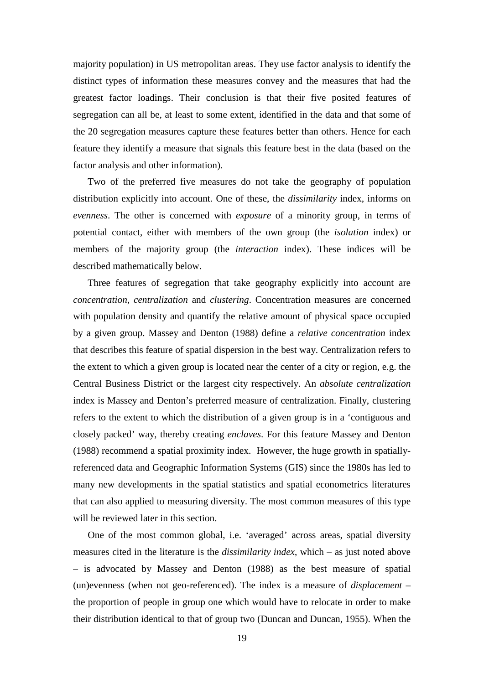majority population) in US metropolitan areas. They use factor analysis to identify the distinct types of information these measures convey and the measures that had the greatest factor loadings. Their conclusion is that their five posited features of segregation can all be, at least to some extent, identified in the data and that some of the 20 segregation measures capture these features better than others. Hence for each feature they identify a measure that signals this feature best in the data (based on the factor analysis and other information).

Two of the preferred five measures do not take the geography of population distribution explicitly into account. One of these, the *dissimilarity* index, informs on *evenness*. The other is concerned with *exposure* of a minority group, in terms of potential contact, either with members of the own group (the *isolation* index) or members of the majority group (the *interaction* index). These indices will be described mathematically below.

Three features of segregation that take geography explicitly into account are *concentration*, *centralization* and *clustering*. Concentration measures are concerned with population density and quantify the relative amount of physical space occupied by a given group. Massey and Denton (1988) define a *relative concentration* index that describes this feature of spatial dispersion in the best way. Centralization refers to the extent to which a given group is located near the center of a city or region, e.g. the Central Business District or the largest city respectively. An *absolute centralization* index is Massey and Denton's preferred measure of centralization. Finally, clustering refers to the extent to which the distribution of a given group is in a 'contiguous and closely packed' way, thereby creating *enclaves*. For this feature Massey and Denton (1988) recommend a spatial proximity index. However, the huge growth in spatiallyreferenced data and Geographic Information Systems (GIS) since the 1980s has led to many new developments in the spatial statistics and spatial econometrics literatures that can also applied to measuring diversity. The most common measures of this type will be reviewed later in this section.

One of the most common global, i.e. 'averaged' across areas, spatial diversity measures cited in the literature is the *dissimilarity index*, which – as just noted above – is advocated by Massey and Denton (1988) as the best measure of spatial (un)evenness (when not geo-referenced). The index is a measure of *displacement* – the proportion of people in group one which would have to relocate in order to make their distribution identical to that of group two (Duncan and Duncan, 1955). When the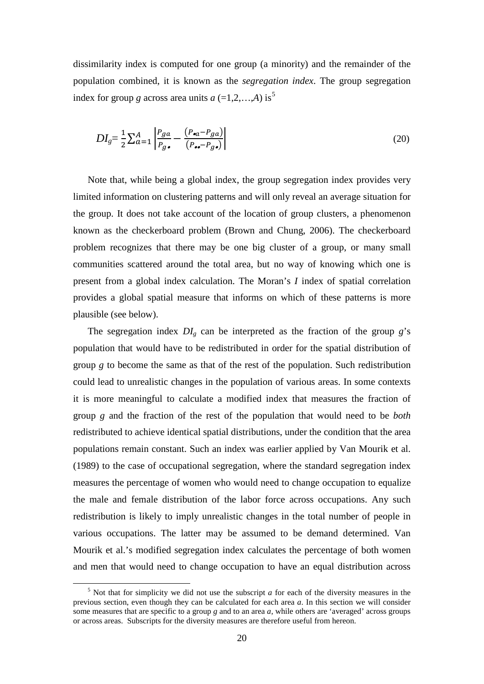dissimilarity index is computed for one group (a minority) and the remainder of the population combined, it is known as the *segregation index*. The group segregation index for group *g* across area units  $a =1,2,...,A$ ) is<sup>[5](#page-20-0)</sup>

$$
DI_{g} = \frac{1}{2} \sum_{a=1}^{A} \left| \frac{P_{ga}}{P_{g} \cdot \cdot} - \frac{(P_{\bullet a} - P_{ga})}{(P_{\bullet \bullet} - P_{g} \cdot)} \right|
$$
 (20)

Note that, while being a global index, the group segregation index provides very limited information on clustering patterns and will only reveal an average situation for the group. It does not take account of the location of group clusters, a phenomenon known as the checkerboard problem (Brown and Chung, 2006). The checkerboard problem recognizes that there may be one big cluster of a group, or many small communities scattered around the total area, but no way of knowing which one is present from a global index calculation. The Moran's *I* index of spatial correlation provides a global spatial measure that informs on which of these patterns is more plausible (see below).

The segregation index  $DI<sub>g</sub>$  can be interpreted as the fraction of the group *g*'s population that would have to be redistributed in order for the spatial distribution of group *g* to become the same as that of the rest of the population. Such redistribution could lead to unrealistic changes in the population of various areas. In some contexts it is more meaningful to calculate a modified index that measures the fraction of group *g* and the fraction of the rest of the population that would need to be *both* redistributed to achieve identical spatial distributions, under the condition that the area populations remain constant. Such an index was earlier applied by Van Mourik et al. (1989) to the case of occupational segregation, where the standard segregation index measures the percentage of women who would need to change occupation to equalize the male and female distribution of the labor force across occupations. Any such redistribution is likely to imply unrealistic changes in the total number of people in various occupations. The latter may be assumed to be demand determined. Van Mourik et al.'s modified segregation index calculates the percentage of both women and men that would need to change occupation to have an equal distribution across

<span id="page-22-0"></span> $<sup>5</sup>$  Not that for simplicity we did not use the subscript *a* for each of the diversity measures in the</sup> previous section, even though they can be calculated for each area *a*. In this section we will consider some measures that are specific to a group *g* and to an area *a*, while others are 'averaged' across groups or across areas. Subscripts for the diversity measures are therefore useful from hereon.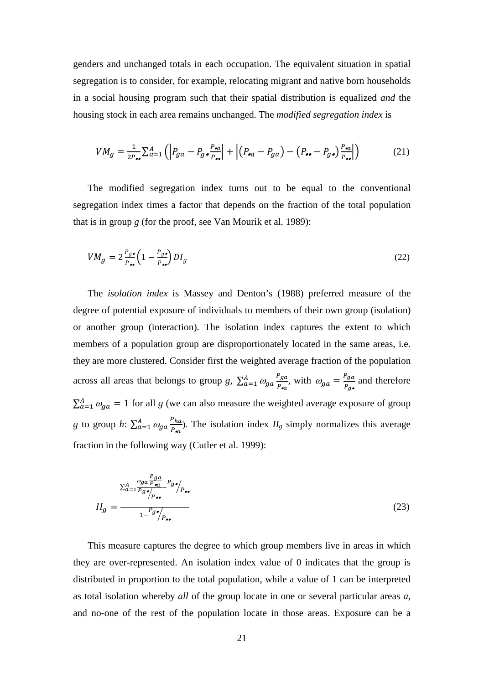genders and unchanged totals in each occupation. The equivalent situation in spatial segregation is to consider, for example, relocating migrant and native born households in a social housing program such that their spatial distribution is equalized *and* the housing stock in each area remains unchanged. The *modified segregation index* is

$$
VM_g = \frac{1}{2P_{\bullet \bullet}} \sum_{a=1}^{A} \left( \left| P_{ga} - P_{g \bullet} \frac{P_{\bullet a}}{P_{\bullet \bullet}} \right| + \left| \left( P_{\bullet a} - P_{ga} \right) - \left( P_{\bullet \bullet} - P_{g \bullet} \right) \frac{P_{\bullet a}}{P_{\bullet \bullet}} \right| \right) \tag{21}
$$

The modified segregation index turns out to be equal to the conventional segregation index times a factor that depends on the fraction of the total population that is in group  $g$  (for the proof, see Van Mourik et al. 1989):

$$
VM_g = 2\frac{P_g}{P_{ee}} \left(1 - \frac{P_g}{P_{ee}}\right) D I_g \tag{22}
$$

The *isolation index* is Massey and Denton's (1988) preferred measure of the degree of potential exposure of individuals to members of their own group (isolation) or another group (interaction). The isolation index captures the extent to which members of a population group are disproportionately located in the same areas, i.e. they are more clustered. Consider first the weighted average fraction of the population across all areas that belongs to group *g*,  $\sum_{a=1}^{A} \omega_{ga} \frac{P_{ga}}{P_{eq}}$  $P_{\bullet a}$  $_{a=1}^{A} \omega_{ga} \frac{P_{ga}}{P_{oa}}$ , with  $\omega_{ga} = \frac{P_{ga}}{P_{ga}}$  and therefore  $\sum_{a=1}^{A} \omega_{ga} = 1$  for all *g* (we can also measure the weighted average exposure of group *g* to group *h*:  $\sum_{a=1}^{A} \omega_{ga} \frac{P_{ha}}{P_{aa}}$  $P_{\bullet a}$  $\frac{A}{a=1} \omega_{ga} \frac{h a}{p_{eq}}$ . The isolation index  $I \llbracket g \rrbracket$  simply normalizes this average fraction in the following way (Cutler et al. 1999):

$$
I_g = \frac{\sum_{a=1}^A \frac{^{p} g a}{^{p} g \bullet_{p a}} P_g \bullet_{p a}}{1 - \frac{^{p} g \bullet_{p a}}{1 - \frac{^{p} g \bullet_{p a}}{1 - \frac{^{p} g \bullet_{p a}}{1 - \frac{^{p} g \bullet_{p a}}{1 - \frac{^{p} g \bullet_{p a}}{1 - \frac{^{p} g \bullet_{p a}}{1 - \frac{^{p} g \bullet_{p a}}{1 - \frac{^{p} g \bullet_{p a}}{1 - \frac{^{p} g \bullet_{p a}}{1 - \frac{^{p} g \bullet_{p a}}{1 - \frac{^{p} g \bullet_{p a}}{1 - \frac{^{p} g \bullet_{p a}}{1 - \frac{^{p} g \bullet_{p a}}{1 - \frac{^{p} g \bullet_{p a}}{1 - \frac{^{p} g \bullet_{p a}}{1 - \frac{^{p} g \bullet_{p a}}{1 - \frac{^{p} g \bullet_{p a}}{1 - \frac{^{p} g \bullet_{p a}}{1 - \frac{^{p} g \bullet_{p a}}{1 - \frac{^{p} g \bullet_{p a}}{1 - \frac{^{p} g \bullet_{p a}}{1 - \frac{^{p} g \bullet_{p a}}{1 - \frac{^{p} g \bullet_{p a}}{1 - \frac{^{p} g \bullet_{p a}}{1 - \frac{^{p} g \bullet_{p a}}{1 - \frac{^{p} g \bullet_{p a}}{1 - \frac{^{p} g \bullet_{p a}}{1 - \frac{^{p} g \bullet_{p a}}{1 - \frac{^{p} g \bullet_{p a}}{1 - \frac{^{p} g \bullet_{p a}}{1 - \frac{^{p} g \bullet_{p a}}{1 - \frac{^{p} g \bullet_{p a}}{1 - \frac{^{p} g \bullet_{p a}}{1 - \frac{^{p} g \bullet_{p a}}{1 - \frac{^{p} g \bullet_{p a}}{1 - \frac{^{p} g \bullet_{p a}}{1 - \frac{^{p} g \bullet_{p a}}{1 - \frac{^{p} g \bullet_{p a}}{1 - \frac{^{p} g \bullet_{p a}}{1 - \frac{^{p} g \bullet_{p a}}{1 - \frac{^{p} g \bullet_{p a}}{1 - \frac{^{p} g \bullet_{p a}}{1 - \frac{^{p} g \bullet_{p a}}{1 - \frac{^{p} g \bullet_{p a}}{1 - \frac{^{p} g \bullet_{p
$$

This measure captures the degree to which group members live in areas in which they are over-represented. An isolation index value of 0 indicates that the group is distributed in proportion to the total population, while a value of 1 can be interpreted as total isolation whereby *all* of the group locate in one or several particular areas *a*, and no-one of the rest of the population locate in those areas. Exposure can be a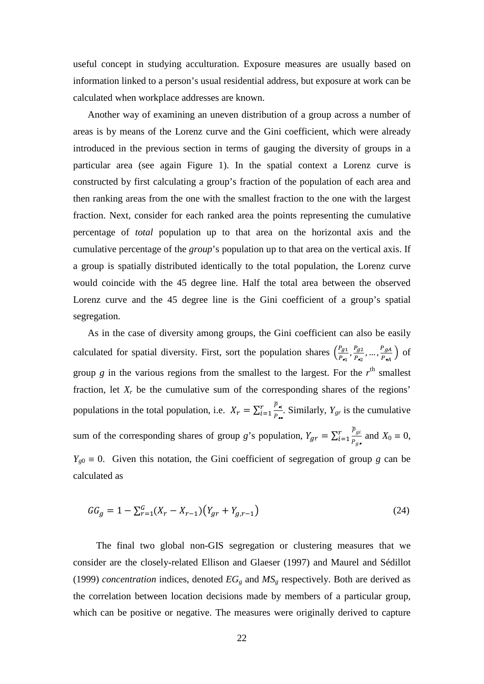useful concept in studying acculturation. Exposure measures are usually based on information linked to a person's usual residential address, but exposure at work can be calculated when workplace addresses are known.

Another way of examining an uneven distribution of a group across a number of areas is by means of the Lorenz curve and the Gini coefficient, which were already introduced in the previous section in terms of gauging the diversity of groups in a particular area (see again Figure 1). In the spatial context a Lorenz curve is constructed by first calculating a group's fraction of the population of each area and then ranking areas from the one with the smallest fraction to the one with the largest fraction. Next, consider for each ranked area the points representing the cumulative percentage of *total* population up to that area on the horizontal axis and the cumulative percentage of the *group*'s population up to that area on the vertical axis. If a group is spatially distributed identically to the total population, the Lorenz curve would coincide with the 45 degree line. Half the total area between the observed Lorenz curve and the 45 degree line is the Gini coefficient of a group's spatial segregation.

As in the case of diversity among groups, the Gini coefficient can also be easily calculated for spatial diversity. First, sort the population shares  $\left(\frac{p_{g1}}{p_{g1}}\right)$  $\frac{P_{g1}}{P_{\bullet 1}}, \frac{P_{g2}}{P_{\bullet 2}}$  $\frac{P_{g2}}{P_{\bullet 2}}$ , ...,  $\frac{P_{gA}}{P_{\bullet A}}$  $\frac{F g A}{P_{\bullet A}}$  of group  $g$  in the various regions from the smallest to the largest. For the  $r<sup>th</sup>$  smallest fraction, let  $X_r$  be the cumulative sum of the corresponding shares of the regions' populations in the total population, i.e.  $X_r = \sum_{i=1}^r \frac{P_{\epsilon i}}{P_{\epsilon i}}$  $\sum_{i=1}^r \frac{F_{\bullet i}}{P_{\bullet \bullet}}$ . Similarly,  $Y_{gr}$  is the cumulative sum of the corresponding shares of group *g*'s population,  $Y_{gr} = \sum_{i=1}^{r} \frac{P_{gi}}{P_{g}}$ .  $\sum_{i=1}^r \frac{I_{g_i}}{P_{g_i}}$  and  $X_0 = 0$ ,  $Y_{g0} = 0$ . Given this notation, the Gini coefficient of segregation of group *g* can be calculated as

$$
GG_g = 1 - \sum_{r=1}^{G} (X_r - X_{r-1})(Y_{gr} + Y_{g,r-1})
$$
\n(24)

The final two global non-GIS segregation or clustering measures that we consider are the closely-related Ellison and Glaeser (1997) and Maurel and Sédillot (1999) *concentration* indices, denoted  $EG<sub>g</sub>$  and  $MS<sub>g</sub>$  respectively. Both are derived as the correlation between location decisions made by members of a particular group, which can be positive or negative. The measures were originally derived to capture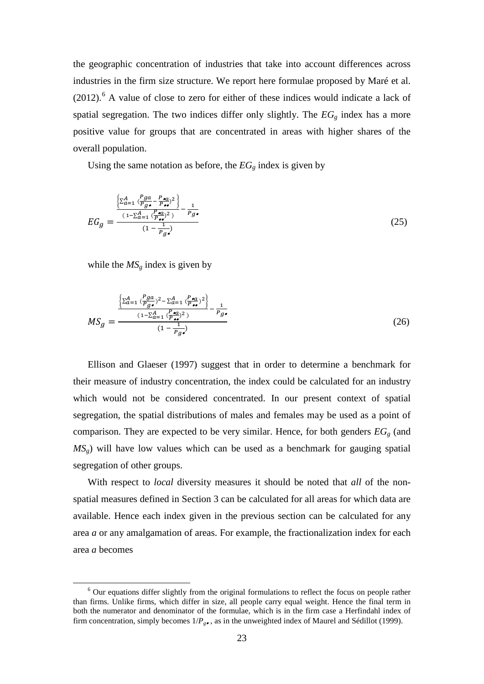the geographic concentration of industries that take into account differences across industries in the firm size structure. We report here formulae proposed by Maré et al.  $(2012)$ .<sup>[6](#page-22-0)</sup> A value of close to zero for either of these indices would indicate a lack of spatial segregation. The two indices differ only slightly. The  $EG<sub>g</sub>$  index has a more positive value for groups that are concentrated in areas with higher shares of the overall population.

Using the same notation as before, the  $EG<sub>g</sub>$  index is given by

$$
EG_g = \frac{\left\{\sum_{a=1}^A \frac{P_{g_a}}{(P_{g\bullet} - P_{\bullet \bullet})^2}\right\}}{(1 - \sum_{a=1}^A \frac{P_{\bullet a}}{(P_{\bullet \bullet})^2})} - \frac{1}{P_{g\bullet}} \tag{25}
$$

while the  $MS<sub>g</sub>$  index is given by

$$
MS_g = \frac{\frac{\left\{\sum_{a=1}^A \left(\frac{P_{g_a}}{P_{g_\bullet}}\right)^2 - \sum_{a=1}^A \left(\frac{P_{g_a}}{P_{g_\bullet}}\right)^2\right\}}{(1 - \sum_{a=1}^A \left(\frac{P_{g_a}}{P_{g_\bullet}}\right)^2)} - \frac{1}{P_{g_\bullet}}}{(1 - \frac{1}{P_{g_\bullet}})}
$$
(26)

Ellison and Glaeser (1997) suggest that in order to determine a benchmark for their measure of industry concentration, the index could be calculated for an industry which would not be considered concentrated. In our present context of spatial segregation, the spatial distributions of males and females may be used as a point of comparison. They are expected to be very similar. Hence, for both genders  $EG<sub>g</sub>$  (and  $MS<sub>e</sub>$ ) will have low values which can be used as a benchmark for gauging spatial segregation of other groups.

With respect to *local* diversity measures it should be noted that *all* of the nonspatial measures defined in Section 3 can be calculated for all areas for which data are available. Hence each index given in the previous section can be calculated for any area *a* or any amalgamation of areas. For example, the fractionalization index for each area *a* becomes

<span id="page-25-0"></span><sup>&</sup>lt;sup>6</sup> Our equations differ slightly from the original formulations to reflect the focus on people rather than firms. Unlike firms, which differ in size, all people carry equal weight. Hence the final term in both the numerator and denominator of the formulae, which is in the firm case a Herfindahl index of firm concentration, simply becomes  $1/P_{g\bullet}$ , as in the unweighted index of Maurel and Sédillot (1999).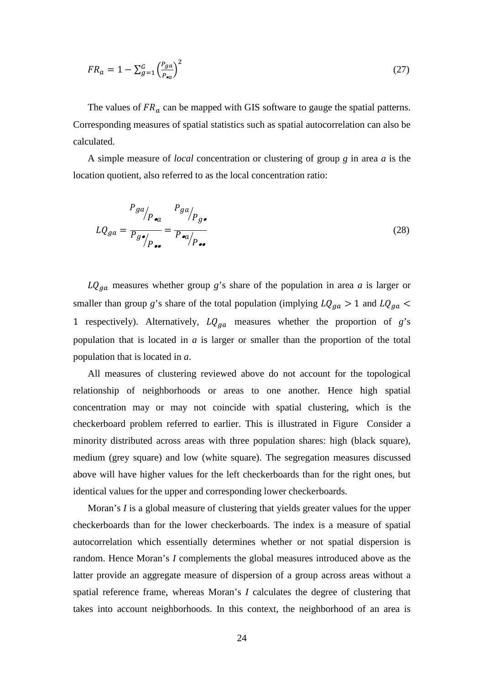$$
FR_a = 1 - \sum_{g=1}^{G} \left(\frac{P_{ga}}{P_{eq}}\right)^2 \tag{27}
$$

The values of  $FR_a$  can be mapped with GIS software to gauge the spatial patterns. Corresponding measures of spatial statistics such as spatial autocorrelation can also be calculated.

A simple measure of *local* concentration or clustering of group *g* in area *a* is the location quotient, also referred to as the local concentration ratio:

$$
P_{ga} = \frac{P_{ga}}{P_{g} \cdot P_{g}} = \frac{P_{ga}}{P_{aq}} / P_{g} \tag{28}
$$

 $LQ_{ga}$  measures whether group *g*'s share of the population in area *a* is larger or smaller than group *g*'s share of the total population (implying  $LQ_{ga} > 1$  and  $LQ_{ga} <$ 1 respectively). Alternatively,  $LQ_{ga}$  measures whether the proportion of *g*'s population that is located in *a* is larger or smaller than the proportion of the total population that is located in *a*.

All measures of clustering reviewed above do not account for the topological relationship of neighborhoods or areas to one another. Hence high spatial concentration may or may not coincide with spatial clustering, which is the checkerboard problem referred to earlier. This is illustrated in Figure Consider a minority distributed across areas with three population shares: high (black square), medium (grey square) and low (white square). The segregation measures discussed above will have higher values for the left checkerboards than for the right ones, but identical values for the upper and corresponding lower checkerboards.

Moran's *I* is a global measure of clustering that yields greater values for the upper checkerboards than for the lower checkerboards. The index is a measure of spatial autocorrelation which essentially determines whether or not spatial dispersion is random. Hence Moran's *I* complements the global measures introduced above as the latter provide an aggregate measure of dispersion of a group across areas without a spatial reference frame, whereas Moran's *I* calculates the degree of clustering that takes into account neighborhoods. In this context, the neighborhood of an area is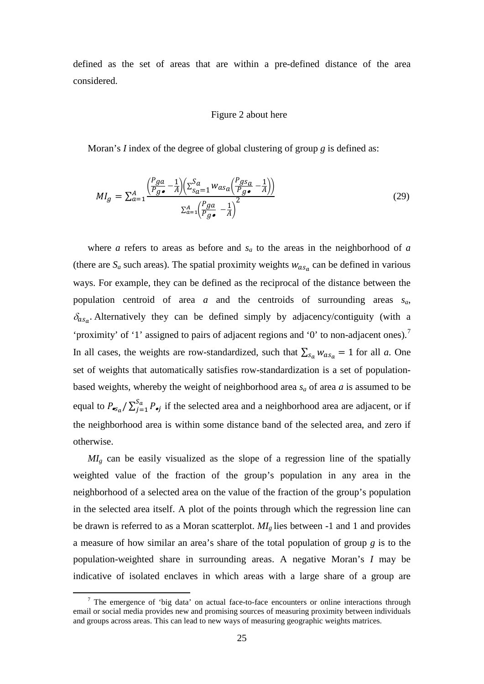defined as the set of areas that are within a pre-defined distance of the area considered.

#### Figure 2 about here

Moran's *I* index of the degree of global clustering of group *g* is defined as:

$$
MI_g = \sum_{a=1}^{A} \frac{\left(\frac{Pga}{P_g \bullet} - \frac{1}{A}\right)\left(\sum_{a=1}^{S} w_{asa} \left(\frac{Pgs_a}{P_g \bullet} - \frac{1}{A}\right)\right)}{\sum_{a=1}^{A} \left(\frac{Pga}{P_g \bullet} - \frac{1}{A}\right)^2}
$$
(29)

where  $a$  refers to areas as before and  $s_a$  to the areas in the neighborhood of  $a$ (there are  $S_a$  such areas). The spatial proximity weights  $w_{as_a}$  can be defined in various ways. For example, they can be defined as the reciprocal of the distance between the population centroid of area *a* and the centroids of surrounding areas *sa*,  $\delta_{\alpha s_a}$ . Alternatively they can be defined simply by adjacency/contiguity (with a 'proximity' of '1' assigned to pairs of adjacent regions and '0' to non-adjacent ones).<sup>[7](#page-25-0)</sup> In all cases, the weights are row-standardized, such that  $\sum_{s_a} w_{as_a} = 1$  for all *a*. One set of weights that automatically satisfies row-standardization is a set of populationbased weights, whereby the weight of neighborhood area *sa* of area *a* is assumed to be equal to  $P_{\bullet s_a}/\sum_{j=1}^{s_a} P_{\bullet j}$  if the selected area and a neighborhood area are adjacent, or if the neighborhood area is within some distance band of the selected area, and zero if otherwise.

 $MI<sub>g</sub>$  can be easily visualized as the slope of a regression line of the spatially weighted value of the fraction of the group's population in any area in the neighborhood of a selected area on the value of the fraction of the group's population in the selected area itself. A plot of the points through which the regression line can be drawn is referred to as a Moran scatterplot. *MIg* lies between -1 and 1 and provides a measure of how similar an area's share of the total population of group *g* is to the population-weighted share in surrounding areas. A negative Moran's *I* may be indicative of isolated enclaves in which areas with a large share of a group are

<span id="page-27-0"></span> $<sup>7</sup>$  The emergence of 'big data' on actual face-to-face encounters or online interactions through</sup> email or social media provides new and promising sources of measuring proximity between individuals and groups across areas. This can lead to new ways of measuring geographic weights matrices.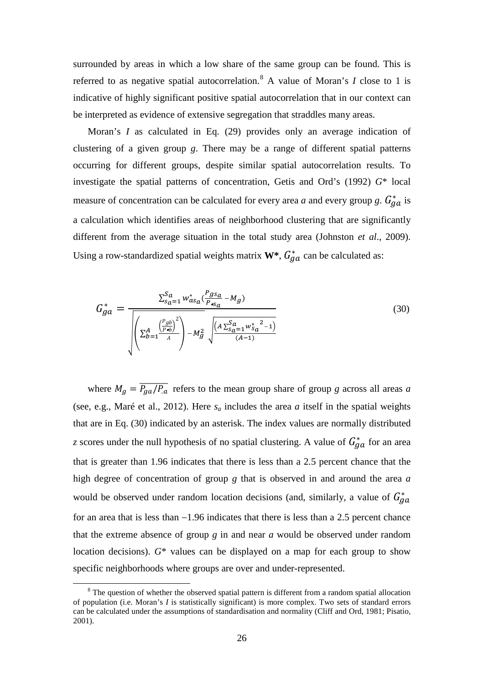surrounded by areas in which a low share of the same group can be found. This is referred to as negative spatial autocorrelation.[8](#page-27-0) A value of Moran's *I* close to 1 is indicative of highly significant positive spatial autocorrelation that in our context can be interpreted as evidence of extensive segregation that straddles many areas.

Moran's *I* as calculated in Eq. (29) provides only an average indication of clustering of a given group *g*. There may be a range of different spatial patterns occurring for different groups, despite similar spatial autocorrelation results. To investigate the spatial patterns of concentration, Getis and Ord's (1992) *G*\* local measure of concentration can be calculated for every area *a* and every group *g*.  $G_{ga}^*$  is a calculation which identifies areas of neighborhood clustering that are significantly different from the average situation in the total study area (Johnston *et al*., 2009). Using a row-standardized spatial weights matrix  $W^*$ ,  $G_{g}^*$  can be calculated as:

$$
G_{ga}^{*} = \frac{\sum_{s_{a=1}}^{S_a} w_{as_a}^{*} \left( \frac{P_{gs_a}}{P_{\bullet s_a}} - M_g \right)}{\sqrt{\left(\sum_{b=1}^{A} \frac{\left( \frac{P_{gb}}{P_{\bullet b}} \right)^2}{A} \right) - M_g^2} \sqrt{\frac{\left( A \sum_{s_a=1}^{S_a} w_{s_a}^{* \ 2} - 1 \right)}{(A-1)}}}
$$
(30)

where  $M_g = \overline{P_{ga}/P_a}$  refers to the mean group share of group *g* across all areas *a* (see, e.g., Maré et al., 2012). Here  $s_a$  includes the area *a* itself in the spatial weights that are in Eq. (30) indicated by an asterisk. The index values are normally distributed *z* scores under the null hypothesis of no spatial clustering. A value of  $G_{g}^{*}$  for an area that is greater than 1.96 indicates that there is less than a 2.5 percent chance that the high degree of concentration of group *g* that is observed in and around the area *a* would be observed under random location decisions (and, similarly, a value of  $G_{ga}^*$ for an area that is less than −1.96 indicates that there is less than a 2.5 percent chance that the extreme absence of group *g* in and near *a* would be observed under random location decisions). *G*\* values can be displayed on a map for each group to show specific neighborhoods where groups are over and under-represented.

<span id="page-28-0"></span><sup>&</sup>lt;sup>8</sup> The question of whether the observed spatial pattern is different from a random spatial allocation of population (i.e. Moran's *I* is statistically significant) is more complex. Two sets of standard errors can be calculated under the assumptions of standardisation and normality (Cliff and Ord, 1981; Pisatio, 2001).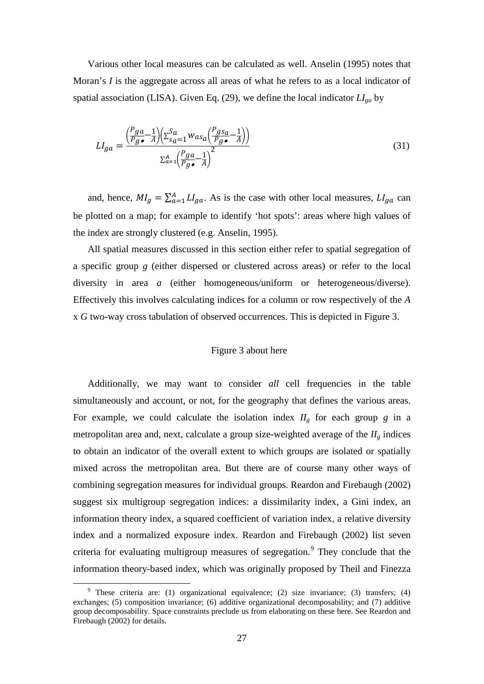Various other local measures can be calculated as well. Anselin (1995) notes that Moran's *I* is the aggregate across all areas of what he refers to as a local indicator of spatial association (LISA). Given Eq. (29), we define the local indicator *LIga* by

$$
LI_{ga} = \frac{\left(\frac{Pga}{Pg\cdot a} - \frac{1}{A}\right)\left(\sum_{sa=1}^{Sa} was_a\left(\frac{Pga}{Pg\cdot a} - \frac{1}{A}\right)\right)}{\sum_{a=1}^{A} \left(\frac{Pga}{Pg\cdot a} - \frac{1}{A}\right)^2}
$$
(31)

and, hence,  $MI_g = \sum_{a=1}^{A} LI_{ga}$ . As is the case with other local measures,  $LI_{ga}$  can be plotted on a map; for example to identify 'hot spots': areas where high values of the index are strongly clustered (e.g. Anselin, 1995).

All spatial measures discussed in this section either refer to spatial segregation of a specific group *g* (either dispersed or clustered across areas) or refer to the local diversity in area *a* (either homogeneous/uniform or heterogeneous/diverse). Effectively this involves calculating indices for a column or row respectively of the *A* x *G* two-way cross tabulation of observed occurrences. This is depicted in Figure 3.

#### Figure 3 about here

Additionally, we may want to consider *all* cell frequencies in the table simultaneously and account, or not, for the geography that defines the various areas. For example, we could calculate the isolation index  $II<sub>g</sub>$  for each group *g* in a metropolitan area and, next, calculate a group size-weighted average of the  $I\!I_g$  indices to obtain an indicator of the overall extent to which groups are isolated or spatially mixed across the metropolitan area. But there are of course many other ways of combining segregation measures for individual groups. Reardon and Firebaugh (2002) suggest six multigroup segregation indices: a dissimilarity index, a Gini index, an information theory index, a squared coefficient of variation index, a relative diversity index and a normalized exposure index. Reardon and Firebaugh (2002) list seven criteria for evaluating multigroup measures of segregation.<sup>[9](#page-28-0)</sup> They conclude that the information theory-based index, which was originally proposed by Theil and Finezza

<span id="page-29-0"></span><sup>&</sup>lt;sup>9</sup> These criteria are: (1) organizational equivalence; (2) size invariance; (3) transfers; (4) exchanges; (5) composition invariance; (6) additive organizational decomposability; and (7) additive group decomposability. Space constraints preclude us from elaborating on these here. See Reardon and Firebaugh (2002) for details.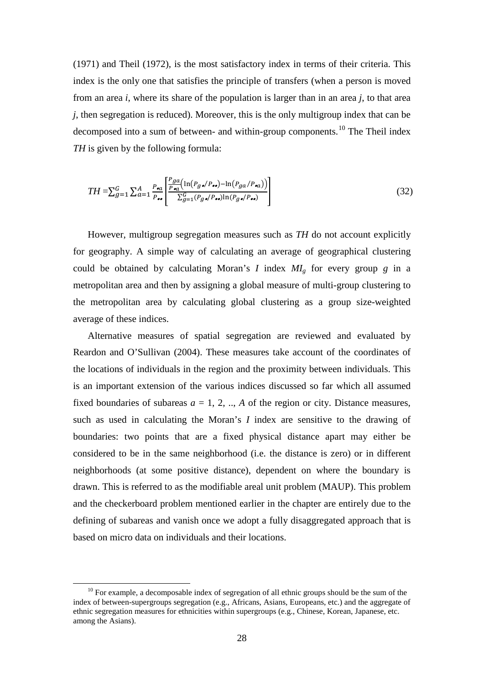(1971) and Theil (1972), is the most satisfactory index in terms of their criteria. This index is the only one that satisfies the principle of transfers (when a person is moved from an area *i*, where its share of the population is larger than in an area *j*, to that area *j*, then segregation is reduced). Moreover, this is the only multigroup index that can be decomposed into a sum of between- and within-group components.<sup>[10](#page-29-0)</sup> The Theil index *TH* is given by the following formula:

$$
TH = \sum_{g=1}^{G} \sum_{a=1}^{A} \frac{P_{\bullet a}}{P_{\bullet \bullet}} \left[ \frac{\frac{P_{ga}}{P_{\bullet a}} \left( \ln(P_{g \bullet} / P_{\bullet \bullet}) - \ln(P_{ga} / P_{\bullet a}) \right)}{\sum_{g=1}^{G} (P_{g \bullet} / P_{\bullet \bullet}) \ln(P_{g \bullet} / P_{\bullet \bullet})} \right]
$$
(32)

However, multigroup segregation measures such as *TH* do not account explicitly for geography. A simple way of calculating an average of geographical clustering could be obtained by calculating Moran's *I* index *MIg* for every group *g* in a metropolitan area and then by assigning a global measure of multi-group clustering to the metropolitan area by calculating global clustering as a group size-weighted average of these indices.

Alternative measures of spatial segregation are reviewed and evaluated by Reardon and O'Sullivan (2004). These measures take account of the coordinates of the locations of individuals in the region and the proximity between individuals. This is an important extension of the various indices discussed so far which all assumed fixed boundaries of subareas  $a = 1, 2, \dots, A$  of the region or city. Distance measures, such as used in calculating the Moran's *I* index are sensitive to the drawing of boundaries: two points that are a fixed physical distance apart may either be considered to be in the same neighborhood (i.e. the distance is zero) or in different neighborhoods (at some positive distance), dependent on where the boundary is drawn. This is referred to as the modifiable areal unit problem (MAUP). This problem and the checkerboard problem mentioned earlier in the chapter are entirely due to the defining of subareas and vanish once we adopt a fully disaggregated approach that is based on micro data on individuals and their locations.

<span id="page-30-0"></span> $10$  For example, a decomposable index of segregation of all ethnic groups should be the sum of the index of between-supergroups segregation (e.g., Africans, Asians, Europeans, etc.) and the aggregate of ethnic segregation measures for ethnicities within supergroups (e.g., Chinese, Korean, Japanese, etc. among the Asians).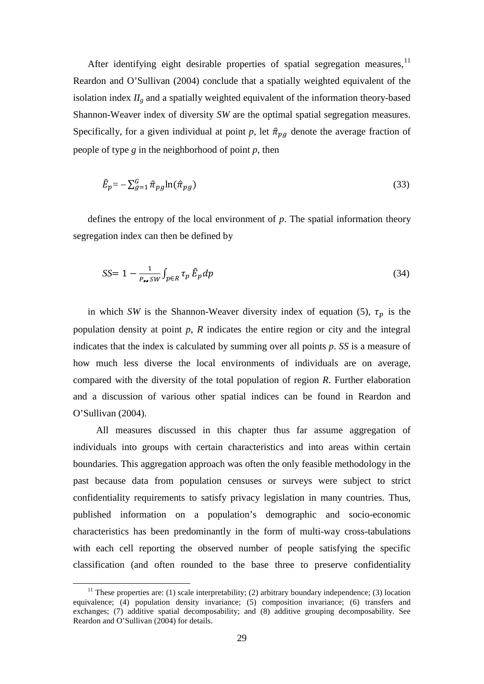After identifying eight desirable properties of spatial segregation measures,  $11$ Reardon and O'Sullivan (2004) conclude that a spatially weighted equivalent of the isolation index  $II<sub>g</sub>$  and a spatially weighted equivalent of the information theory-based Shannon-Weaver index of diversity *SW* are the optimal spatial segregation measures. Specifically, for a given individual at point p, let  $\hat{\pi}_{pg}$  denote the average fraction of people of type *g* in the neighborhood of point *p*, then

$$
\hat{E}_p = -\sum_{g=1}^G \hat{\pi}_{pg} \ln(\hat{\pi}_{pg}) \tag{33}
$$

defines the entropy of the local environment of *p*. The spatial information theory segregation index can then be defined by

$$
SS = 1 - \frac{1}{P_{\bullet \bullet} SW} \int_{p \in R} \tau_p \,\hat{E}_p \, dp \tag{34}
$$

in which *SW* is the Shannon-Weaver diversity index of equation (5),  $\tau_p$  is the population density at point *p*, *R* indicates the entire region or city and the integral indicates that the index is calculated by summing over all points *p*. *SS* is a measure of how much less diverse the local environments of individuals are on average, compared with the diversity of the total population of region *R*. Further elaboration and a discussion of various other spatial indices can be found in Reardon and O'Sullivan (2004).

All measures discussed in this chapter thus far assume aggregation of individuals into groups with certain characteristics and into areas within certain boundaries. This aggregation approach was often the only feasible methodology in the past because data from population censuses or surveys were subject to strict confidentiality requirements to satisfy privacy legislation in many countries. Thus, published information on a population's demographic and socio-economic characteristics has been predominantly in the form of multi-way cross-tabulations with each cell reporting the observed number of people satisfying the specific classification (and often rounded to the base three to preserve confidentiality

<sup>&</sup>lt;sup>11</sup> These properties are: (1) scale interpretability; (2) arbitrary boundary independence; (3) location equivalence; (4) population density invariance; (5) composition invariance; (6) transfers and exchanges; (7) additive spatial decomposability; and (8) additive grouping decomposability. See Reardon and O'Sullivan (2004) for details.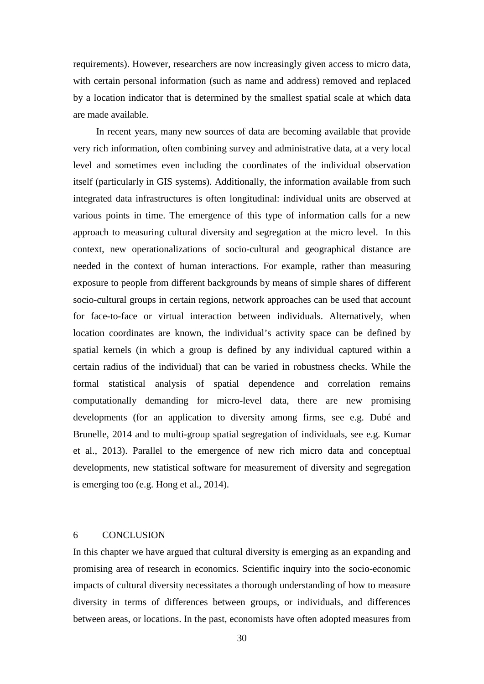requirements). However, researchers are now increasingly given access to micro data, with certain personal information (such as name and address) removed and replaced by a location indicator that is determined by the smallest spatial scale at which data are made available.

In recent years, many new sources of data are becoming available that provide very rich information, often combining survey and administrative data, at a very local level and sometimes even including the coordinates of the individual observation itself (particularly in GIS systems). Additionally, the information available from such integrated data infrastructures is often longitudinal: individual units are observed at various points in time. The emergence of this type of information calls for a new approach to measuring cultural diversity and segregation at the micro level. In this context, new operationalizations of socio-cultural and geographical distance are needed in the context of human interactions. For example, rather than measuring exposure to people from different backgrounds by means of simple shares of different socio-cultural groups in certain regions, network approaches can be used that account for face-to-face or virtual interaction between individuals. Alternatively, when location coordinates are known, the individual's activity space can be defined by spatial kernels (in which a group is defined by any individual captured within a certain radius of the individual) that can be varied in robustness checks. While the formal statistical analysis of spatial dependence and correlation remains computationally demanding for micro-level data, there are new promising developments (for an application to diversity among firms, see e.g. Dubé and Brunelle, 2014 and to multi-group spatial segregation of individuals, see e.g. Kumar et al., 2013). Parallel to the emergence of new rich micro data and conceptual developments, new statistical software for measurement of diversity and segregation is emerging too (e.g. Hong et al., 2014).

### 6 CONCLUSION

In this chapter we have argued that cultural diversity is emerging as an expanding and promising area of research in economics. Scientific inquiry into the socio-economic impacts of cultural diversity necessitates a thorough understanding of how to measure diversity in terms of differences between groups, or individuals, and differences between areas, or locations. In the past, economists have often adopted measures from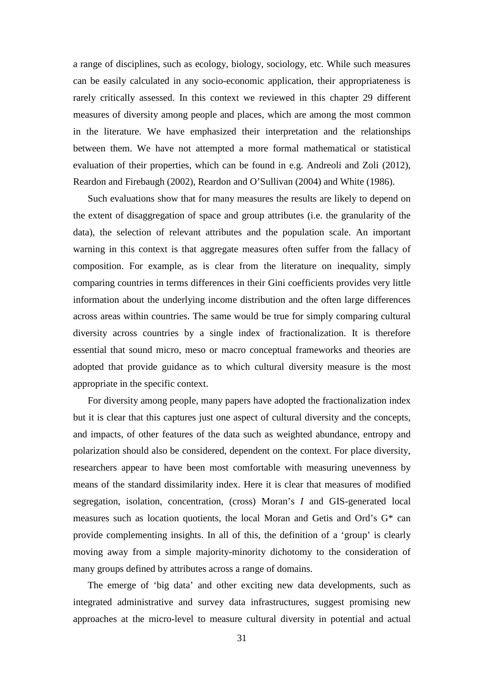a range of disciplines, such as ecology, biology, sociology, etc. While such measures can be easily calculated in any socio-economic application, their appropriateness is rarely critically assessed. In this context we reviewed in this chapter 29 different measures of diversity among people and places, which are among the most common in the literature. We have emphasized their interpretation and the relationships between them. We have not attempted a more formal mathematical or statistical evaluation of their properties, which can be found in e.g. Andreoli and Zoli (2012), Reardon and Firebaugh (2002), Reardon and O'Sullivan (2004) and White (1986).

Such evaluations show that for many measures the results are likely to depend on the extent of disaggregation of space and group attributes (i.e. the granularity of the data), the selection of relevant attributes and the population scale. An important warning in this context is that aggregate measures often suffer from the fallacy of composition. For example, as is clear from the literature on inequality, simply comparing countries in terms differences in their Gini coefficients provides very little information about the underlying income distribution and the often large differences across areas within countries. The same would be true for simply comparing cultural diversity across countries by a single index of fractionalization. It is therefore essential that sound micro, meso or macro conceptual frameworks and theories are adopted that provide guidance as to which cultural diversity measure is the most appropriate in the specific context.

For diversity among people, many papers have adopted the fractionalization index but it is clear that this captures just one aspect of cultural diversity and the concepts, and impacts, of other features of the data such as weighted abundance, entropy and polarization should also be considered, dependent on the context. For place diversity, researchers appear to have been most comfortable with measuring unevenness by means of the standard dissimilarity index. Here it is clear that measures of modified segregation, isolation, concentration, (cross) Moran's *I* and GIS-generated local measures such as location quotients, the local Moran and Getis and Ord's G\* can provide complementing insights. In all of this, the definition of a 'group' is clearly moving away from a simple majority-minority dichotomy to the consideration of many groups defined by attributes across a range of domains.

The emerge of 'big data' and other exciting new data developments, such as integrated administrative and survey data infrastructures, suggest promising new approaches at the micro-level to measure cultural diversity in potential and actual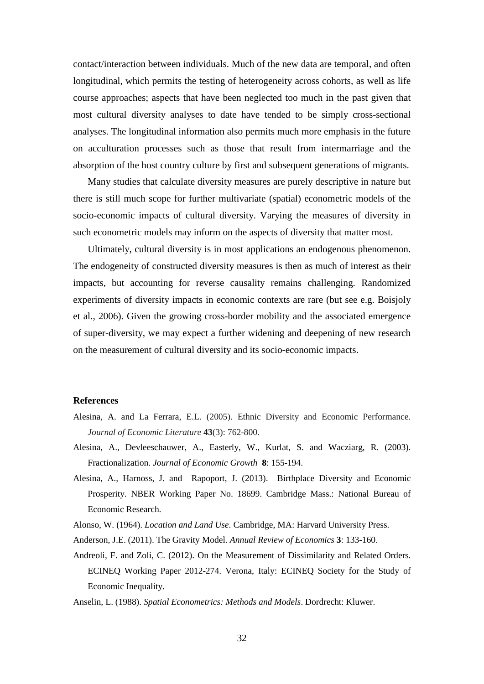contact/interaction between individuals. Much of the new data are temporal, and often longitudinal, which permits the testing of heterogeneity across cohorts, as well as life course approaches; aspects that have been neglected too much in the past given that most cultural diversity analyses to date have tended to be simply cross-sectional analyses. The longitudinal information also permits much more emphasis in the future on acculturation processes such as those that result from intermarriage and the absorption of the host country culture by first and subsequent generations of migrants.

Many studies that calculate diversity measures are purely descriptive in nature but there is still much scope for further multivariate (spatial) econometric models of the socio-economic impacts of cultural diversity. Varying the measures of diversity in such econometric models may inform on the aspects of diversity that matter most.

Ultimately, cultural diversity is in most applications an endogenous phenomenon. The endogeneity of constructed diversity measures is then as much of interest as their impacts, but accounting for reverse causality remains challenging. Randomized experiments of diversity impacts in economic contexts are rare (but see e.g. Boisjoly et al., 2006). Given the growing cross-border mobility and the associated emergence of super-diversity, we may expect a further widening and deepening of new research on the measurement of cultural diversity and its socio-economic impacts.

#### **References**

- Alesina, A. and La Ferrara, E.L. (2005). Ethnic Diversity and Economic Performance. *Journal of Economic Literature* **43**(3): 762-800.
- Alesina, A., Devleeschauwer, A., Easterly, W., Kurlat, S. and Wacziarg, R. (2003). Fractionalization. *Journal of Economic Growth* **8**: 155-194.
- Alesina, A., Harnoss, J. and Rapoport, J. (2013). Birthplace Diversity and Economic Prosperity. NBER Working Paper No. 18699. Cambridge Mass.: National Bureau of Economic Research.
- Alonso, W. (1964). *Location and Land Use*. Cambridge, MA: Harvard University Press.
- Anderson, J.E. (2011). The Gravity Model. *Annual Review of Economics* **3**: 133-160.
- Andreoli, F. and Zoli, C. (2012). On the Measurement of Dissimilarity and Related Orders. ECINEQ Working Paper 2012-274. Verona, Italy: ECINEQ Society for the Study of Economic Inequality.
- Anselin, L. (1988). *Spatial Econometrics: Methods and Models*. Dordrecht: Kluwer.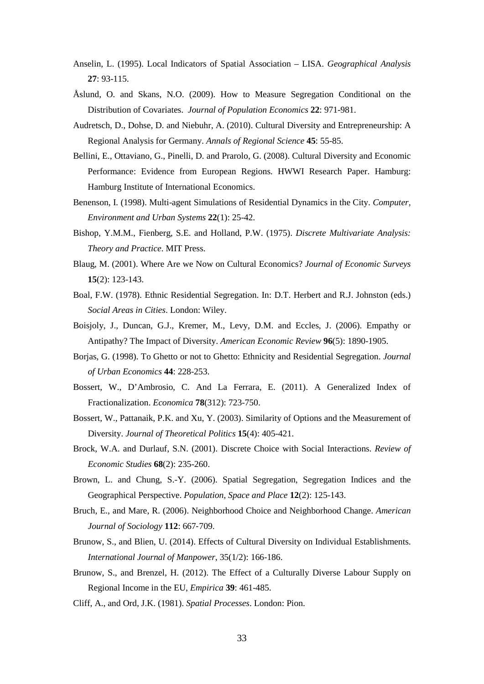- Anselin, L. (1995). Local Indicators of Spatial Association LISA. *Geographical Analysis* **27**: 93-115.
- Åslund, O. and Skans, N.O. (2009). How to Measure Segregation Conditional on the Distribution of Covariates. *Journal of Population Economics* **22**: 971-981.
- Audretsch, D., Dohse, D. and Niebuhr, A. (2010). Cultural Diversity and Entrepreneurship: A Regional Analysis for Germany. *Annals of Regional Science* **45**: 55-85.
- Bellini, E., Ottaviano, G., Pinelli, D. and Prarolo, G. (2008). Cultural Diversity and Economic Performance: Evidence from European Regions. HWWI Research Paper. Hamburg: Hamburg Institute of International Economics.
- Benenson, I. (1998). Multi-agent Simulations of Residential Dynamics in the City. *Computer, Environment and Urban Systems* **22**(1): 25-42.
- Bishop, Y.M.M., Fienberg, S.E. and Holland, P.W. (1975). *Discrete Multivariate Analysis: Theory and Practice*. MIT Press.
- Blaug, M. (2001). Where Are we Now on Cultural Economics? *Journal of Economic Surveys* **15**(2): 123-143.
- Boal, F.W. (1978). Ethnic Residential Segregation. In: D.T. Herbert and R.J. Johnston (eds.) *Social Areas in Cities*. London: Wiley.
- Boisjoly, J., Duncan, G.J., Kremer, M., Levy, D.M. and Eccles, J. (2006). Empathy or Antipathy? The Impact of Diversity. *American Economic Review* **96**(5): 1890-1905.
- Borjas, G. (1998). To Ghetto or not to Ghetto: Ethnicity and Residential Segregation. *Journal of Urban Economics* **44**: 228-253.
- Bossert, W., D'Ambrosio, C. And La Ferrara, E. (2011). A Generalized Index of Fractionalization. *Economica* **78**(312): 723-750.
- Bossert, W., Pattanaik, P.K. and Xu, Y. (2003). Similarity of Options and the Measurement of Diversity. *Journal of Theoretical Politics* **15**(4): 405-421.
- Brock, W.A. and Durlauf, S.N. (2001). Discrete Choice with Social Interactions. *Review of Economic Studies* **68**(2): 235-260.
- Brown, L. and Chung, S.-Y. (2006). Spatial Segregation, Segregation Indices and the Geographical Perspective. *Population, Space and Place* **12**(2): 125-143.
- Bruch, E., and Mare, R. (2006). Neighborhood Choice and Neighborhood Change. *American Journal of Sociology* **112**: 667‐709.
- Brunow, S., and Blien, U. (2014). Effects of Cultural Diversity on Individual Establishments. *International Journal of Manpower*, 35(1/2): 166-186.
- Brunow, S., and Brenzel, H. (2012). The Effect of a Culturally Diverse Labour Supply on Regional Income in the EU, *Empirica* **39**: 461-485.
- Cliff, A., and Ord, J.K. (1981). *Spatial Processes*. London: Pion.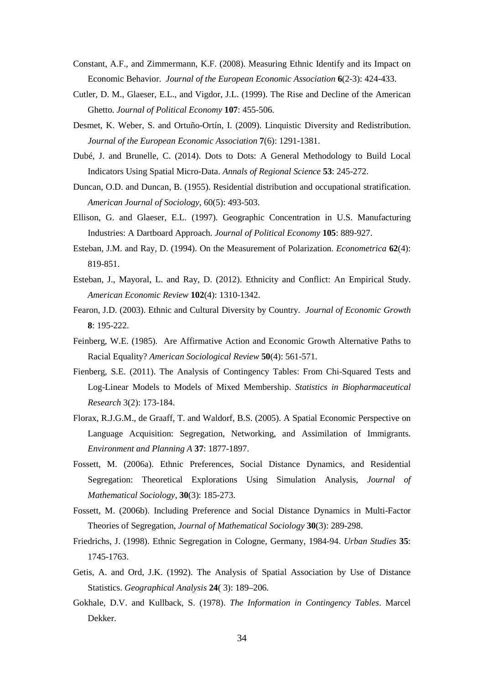- Constant, A.F., and Zimmermann, K.F. (2008). Measuring Ethnic Identify and its Impact on Economic Behavior. *Journal of the European Economic Association* **6**(2-3): 424-433.
- Cutler, D. M., Glaeser, E.L., and Vigdor, J.L. (1999). The Rise and Decline of the American Ghetto. *Journal of Political Economy* **107**: 455-506.
- Desmet, K. Weber, S. and Ortuño-Ortín, I. (2009). Linquistic Diversity and Redistribution. *Journal of the European Economic Association* **7**(6): 1291-1381.
- Dubé, J. and Brunelle, C. (2014). Dots to Dots: A General Methodology to Build Local Indicators Using Spatial Micro-Data. *Annals of Regional Science* **53**: 245-272.
- Duncan, O.D. and Duncan, B. (1955). Residential distribution and occupational stratification. *American Journal of Sociology*, 60(5): 493-503.
- Ellison, G. and Glaeser, E.L. (1997). Geographic Concentration in U.S. Manufacturing Industries: A Dartboard Approach. *Journal of Political Economy* **105**: 889-927.
- Esteban, J.M. and Ray, D. (1994). On the Measurement of Polarization. *Econometrica* **62**(4): 819-851.
- Esteban, J., Mayoral, L. and Ray, D. (2012). Ethnicity and Conflict: An Empirical Study. *American Economic Review* **102**(4): 1310-1342.
- Fearon, J.D. (2003). Ethnic and Cultural Diversity by Country. *Journal of Economic Growth* **8**: 195-222.
- Feinberg, W.E. (1985). Are Affirmative Action and Economic Growth Alternative Paths to Racial Equality? *American Sociological Review* **50**(4): 561-571.
- Fienberg, S.E. (2011). The Analysis of Contingency Tables: From Chi-Squared Tests and Log-Linear Models to Models of Mixed Membership. *Statistics in Biopharmaceutical Research* 3(2): 173-184.
- Florax, R.J.G.M., de Graaff, T. and Waldorf, B.S. (2005). A Spatial Economic Perspective on Language Acquisition: Segregation, Networking, and Assimilation of Immigrants. *Environment and Planning A* **37**: 1877-1897.
- Fossett, M. (2006a). Ethnic Preferences, Social Distance Dynamics, and Residential Segregation: Theoretical Explorations Using Simulation Analysis, *Journal of Mathematical Sociology,* **30**(3): 185-273.
- Fossett, M. (2006b). Including Preference and Social Distance Dynamics in Multi-Factor Theories of Segregation, *Journal of Mathematical Sociology* **30**(3): 289-298.
- Friedrichs, J. (1998). Ethnic Segregation in Cologne, Germany, 1984-94. *Urban Studies* **35**: 1745-1763.
- Getis, A. and Ord, J.K. (1992). The Analysis of Spatial Association by Use of Distance Statistics. *Geographical Analysis* **24**( 3): 189–206.
- Gokhale, D.V. and Kullback, S. (1978). *The Information in Contingency Tables*. Marcel Dekker.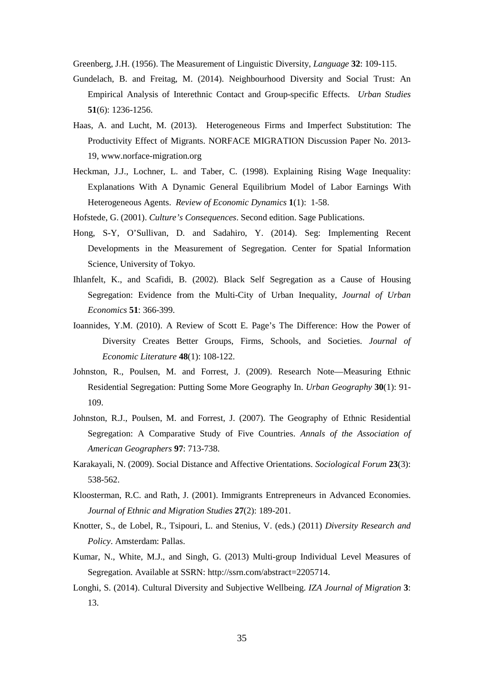Greenberg, J.H. (1956). The Measurement of Linguistic Diversity, *Language* **32**: 109-115.

- Gundelach, B. and Freitag, M. (2014). Neighbourhood Diversity and Social Trust: An Empirical Analysis of Interethnic Contact and Group-specific Effects. *Urban Studies* **51**(6): 1236-1256.
- Haas, A. and Lucht, M. (2013). Heterogeneous Firms and Imperfect Substitution: The Productivity Effect of Migrants. NORFACE MIGRATION Discussion Paper No. 2013- 19, www.norface-migration.org
- Heckman, J.J., Lochner, L. and Taber, C. (1998). Explaining Rising Wage Inequality: Explanations With A Dynamic General Equilibrium Model of Labor Earnings With Heterogeneous Agents. *Review of Economic Dynamics* **1**(1): 1-58.
- Hofstede, G. (2001). *Culture's Consequences*. Second edition. Sage Publications.
- Hong, S-Y, O'Sullivan, D. and Sadahiro, Y. (2014). Seg: Implementing Recent Developments in the Measurement of Segregation. Center for Spatial Information Science, University of Tokyo.
- Ihlanfelt, K., and Scafidi, B. (2002). Black Self Segregation as a Cause of Housing Segregation: Evidence from the Multi-City of Urban Inequality, *Journal of Urban Economics* **51**: 366-399.
- Ioannides, Y.M. (2010). A Review of Scott E. Page's The Difference: How the Power of Diversity Creates Better Groups, Firms, Schools, and Societies. *Journal of Economic Literature* **48**(1): 108-122.
- Johnston, R., Poulsen, M. and Forrest, J. (2009). Research Note—Measuring Ethnic Residential Segregation: Putting Some More Geography In. *Urban Geography* **30**(1): 91- 109.
- Johnston, R.J., Poulsen, M. and Forrest, J. (2007). The Geography of Ethnic Residential Segregation: A Comparative Study of Five Countries. *Annals of the Association of American Geographers* **97**: 713-738.
- Karakayali, N. (2009). Social Distance and Affective Orientations. *Sociological Forum* **23**(3): 538-562.
- Kloosterman, R.C. and Rath, J. (2001). Immigrants Entrepreneurs in Advanced Economies. *Journal of Ethnic and Migration Studies* **27**(2): 189-201.
- Knotter, S., de Lobel, R., Tsipouri, L. and Stenius, V. (eds.) (2011) *Diversity Research and Policy*. Amsterdam: Pallas.
- Kumar, N., White, M.J., and Singh, G. (2013) Multi-group Individual Level Measures of Segregation. Available at SSRN: http://ssrn.com/abstract=2205714.
- Longhi, S. (2014). Cultural Diversity and Subjective Wellbeing. *IZA Journal of Migration* **3**: 13.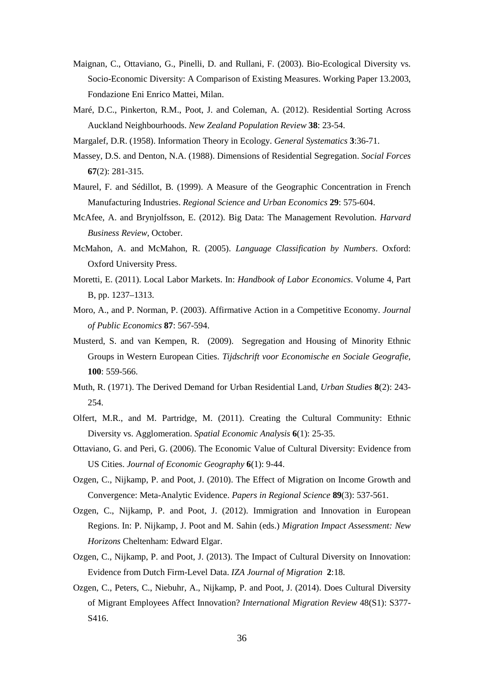- Maignan, C., Ottaviano, G., Pinelli, D. and Rullani, F. (2003). Bio-Ecological Diversity vs. Socio-Economic Diversity: A Comparison of Existing Measures. Working Paper 13.2003, Fondazione Eni Enrico Mattei, Milan.
- Maré, D.C., Pinkerton, R.M., Poot, J. and Coleman, A. (2012). Residential Sorting Across Auckland Neighbourhoods. *New Zealand Population Review* **38**: 23-54.
- Margalef, D.R. (1958). Information Theory in Ecology. *General Systematics* **3**:36-71.
- Massey, D.S. and Denton, N.A. (1988). Dimensions of Residential Segregation. *Social Forces* **67**(2): 281-315.
- Maurel, F. and Sédillot, B. (1999). A Measure of the Geographic Concentration in French Manufacturing Industries. *Regional Science and Urban Economics* **29**: 575-604.
- McAfee, A. and Brynjolfsson, E. (2012). Big Data: The Management Revolution. *Harvard Business Review*, October.
- McMahon, A. and McMahon, R. (2005). *Language Classification by Numbers*. Oxford: Oxford University Press.
- Moretti, E. (2011). Local Labor Markets. In: *Handbook of Labor Economics*. Volume 4, Part B, pp. 1237–1313.
- Moro, A., and P. Norman, P. (2003). Affirmative Action in a Competitive Economy. *Journal of Public Economics* **87**: 567-594.
- Musterd, S. and van Kempen, R. (2009). Segregation and Housing of Minority Ethnic Groups in Western European Cities. *Tijdschrift voor Economische en Sociale Geografie,* **100**: 559-566.
- Muth, R. (1971). The Derived Demand for Urban Residential Land, *Urban Studies* **8**(2): 243- 254.
- Olfert, M.R., and M. Partridge, M. (2011). Creating the Cultural Community: Ethnic Diversity vs. Agglomeration. *Spatial Economic Analysis* **6**(1): 25-35.
- Ottaviano, G. and Peri, G. (2006). The Economic Value of Cultural Diversity: Evidence from US Cities. *Journal of Economic Geography* **6**(1): 9-44.
- Ozgen, C., Nijkamp, P. and Poot, J. (2010). The Effect of Migration on Income Growth and Convergence: Meta-Analytic Evidence. *Papers in Regional Science* **89**(3): 537-561.
- Ozgen, C., Nijkamp, P. and Poot, J. (2012). Immigration and Innovation in European Regions. In: P. Nijkamp, J. Poot and M. Sahin (eds.) *Migration Impact Assessment: New Horizons* Cheltenham: Edward Elgar.
- Ozgen, C., Nijkamp, P. and Poot, J. (2013). The Impact of Cultural Diversity on Innovation: Evidence from Dutch Firm-Level Data. *IZA Journal of Migration* **2**:18.
- Ozgen, C., Peters, C., Niebuhr, A., Nijkamp, P. and Poot, J. (2014). Does Cultural Diversity of Migrant Employees Affect Innovation? *International Migration Review* 48(S1): S377- S416.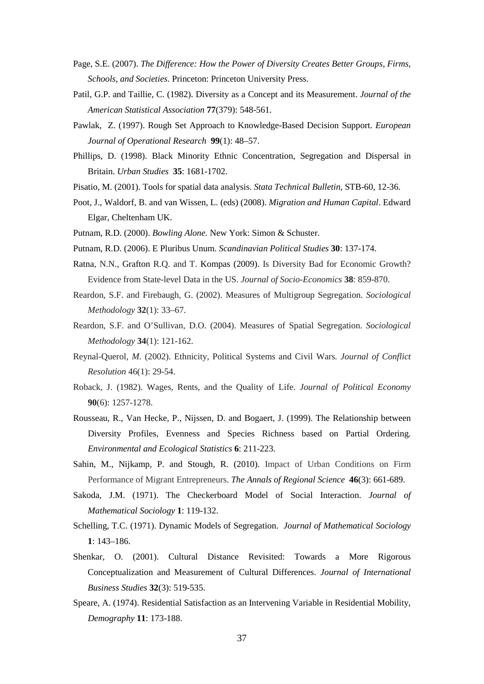- Page, S.E. (2007). *The Difference: How the Power of Diversity Creates Better Groups, Firms, Schools, and Societies*. Princeton: Princeton University Press.
- Patil, G.P. and Taillie, C. (1982). Diversity as a Concept and its Measurement. *Journal of the American Statistical Association* **77**(379): 548-561.
- Pawlak, Z. (1997). Rough Set Approach to Knowledge-Based Decision Support. *European Journal of Operational Research* **99**(1): 48–57.
- Phillips, D. (1998). Black Minority Ethnic Concentration, Segregation and Dispersal in Britain. *Urban Studies* **35**: 1681-1702.
- Pisatio, M. (2001). Tools for spatial data analysis. *Stata Technical Bulletin*, STB-60, 12-36.
- Poot, J., Waldorf, B. and van Wissen, L. (eds) (2008). *Migration and Human Capital*. Edward Elgar, Cheltenham UK.
- Putnam, R.D. (2000). *Bowling Alone.* New York: Simon & Schuster.
- Putnam, R.D. (2006). E Pluribus Unum. *Scandinavian Political Studies* **30**: 137-174.
- Ratna, N.N., Grafton R.Q. and T. Kompas (2009). Is Diversity Bad for Economic Growth? Evidence from State-level Data in the US. *Journal of Socio-Economics* **38**: 859-870.
- Reardon, S.F. and Firebaugh, G. (2002). Measures of Multigroup Segregation. *Sociological Methodology* **32**(1): 33–67.
- Reardon, S.F. and O'Sullivan, D.O. (2004). Measures of Spatial Segregation. *Sociological Methodology* **34**(1): 121-162.
- Reynal-Querol*, M.* (2002). Ethnicity, Political Systems and Civil Wars*. Journal of Conflict Resolution* 46(1): 29-54.
- Roback, J. (1982). Wages, Rents, and the Quality of Life. *Journal of Political Economy* **90**(6): 1257-1278.
- Rousseau, R., Van Hecke, P., Nijssen, D. and Bogaert, J. (1999). The Relationship between Diversity Profiles, Evenness and Species Richness based on Partial Ordering. *Environmental and Ecological Statistics* **6**: 211-223.
- Sahin, M., Nijkamp, P. and Stough, R. (2010). [Impact of Urban Conditions on Firm](http://dx.doi.org/10.1007/s00168-009-0351-2)  [Performance of Migrant Entrepreneurs.](http://dx.doi.org/10.1007/s00168-009-0351-2) *The Annals of Regional Science* **46**(3): 661-689.
- Sakoda, J.M. (1971). The Checkerboard Model of Social Interaction. *Journal of Mathematical Sociology* **1**: 119-132.
- Schelling, T.C. (1971). Dynamic Models of Segregation. *Journal of Mathematical Sociology*  **1**: 143–186.
- Shenkar, O. (2001). Cultural Distance Revisited: Towards a More Rigorous Conceptualization and Measurement of Cultural Differences. *Journal of International Business Studies* **32**(3): 519-535.
- Speare, A. (1974). Residential Satisfaction as an Intervening Variable in Residential Mobility, *Demography* **11**: 173-188.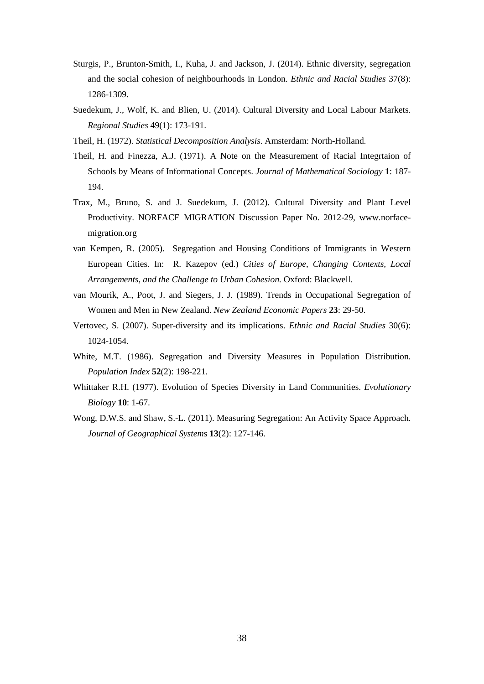- Sturgis, P., Brunton-Smith, I., Kuha, J. and Jackson, J. (2014). Ethnic diversity, segregation and the social cohesion of neighbourhoods in London. *Ethnic and Racial Studies* 37(8): 1286-1309.
- Suedekum, J., Wolf, K. and Blien, U. (2014). Cultural Diversity and Local Labour Markets. *Regional Studies* 49(1): 173-191.
- Theil, H. (1972). *Statistical Decomposition Analysis*. Amsterdam: North-Holland.
- Theil, H. and Finezza, A.J. (1971). A Note on the Measurement of Racial Integrtaion of Schools by Means of Informational Concepts. *Journal of Mathematical Sociology* **1**: 187- 194.
- Trax, M., Bruno, S. and J. Suedekum, J. (2012). Cultural Diversity and Plant Level Productivity. NORFACE MIGRATION Discussion Paper No. 2012-29, www.norfacemigration.org
- van Kempen, R. (2005). Segregation and Housing Conditions of Immigrants in Western European Cities. In: R. Kazepov (ed.) *Cities of Europe, Changing Contexts, Local Arrangements, and the Challenge to Urban Cohesion.* Oxford: Blackwell.
- van Mourik, A., Poot, J. and Siegers, J. J. (1989). Trends in Occupational Segregation of Women and Men in New Zealand. *New Zealand Economic Papers* **23**: 29-50.
- Vertovec, S. (2007). Super-diversity and its implications. *Ethnic and Racial Studies* 30(6): 1024-1054.
- White, M.T. (1986). Segregation and Diversity Measures in Population Distribution. *Population Index* **52**(2): 198-221.
- Whittaker R.H. (1977). Evolution of Species Diversity in Land Communities. *Evolutionary Biology* **10**: 1-67.
- Wong, D.W.S. and Shaw, S.-L. (2011). Measuring Segregation: An Activity Space Approach. *Journal of Geographical System*s **13**(2): 127-146.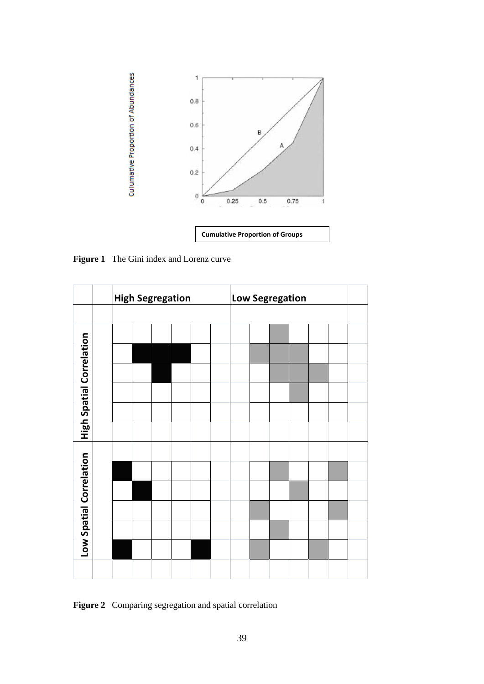

Figure 1 The Gini index and Lorenz curve

Culumative Proportion of Abundances

|                                 | <b>High Segregation</b> |  |  |  |  |  | <b>Low Segregation</b> |  |  |  |  |  |  |
|---------------------------------|-------------------------|--|--|--|--|--|------------------------|--|--|--|--|--|--|
|                                 |                         |  |  |  |  |  |                        |  |  |  |  |  |  |
|                                 |                         |  |  |  |  |  |                        |  |  |  |  |  |  |
|                                 |                         |  |  |  |  |  |                        |  |  |  |  |  |  |
|                                 |                         |  |  |  |  |  |                        |  |  |  |  |  |  |
|                                 |                         |  |  |  |  |  |                        |  |  |  |  |  |  |
|                                 |                         |  |  |  |  |  |                        |  |  |  |  |  |  |
| <b>High Spatial Correlation</b> |                         |  |  |  |  |  |                        |  |  |  |  |  |  |
|                                 |                         |  |  |  |  |  |                        |  |  |  |  |  |  |
|                                 |                         |  |  |  |  |  |                        |  |  |  |  |  |  |
| Low Spatial Correlation         |                         |  |  |  |  |  |                        |  |  |  |  |  |  |
|                                 |                         |  |  |  |  |  |                        |  |  |  |  |  |  |
|                                 |                         |  |  |  |  |  |                        |  |  |  |  |  |  |
|                                 |                         |  |  |  |  |  |                        |  |  |  |  |  |  |
|                                 |                         |  |  |  |  |  |                        |  |  |  |  |  |  |
|                                 |                         |  |  |  |  |  |                        |  |  |  |  |  |  |